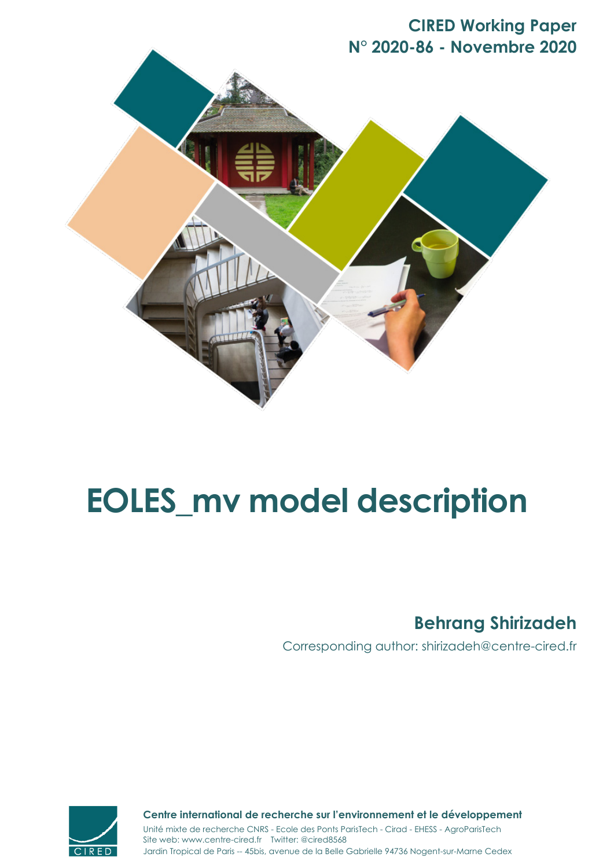# **CIRED Working Paper N° 2020-86 - Novembre 2020**



# **EOLES\_mv model description**

# **Behrang Shirizadeh**

Corresponding author: shirizadeh@centre-cired.fr



**Centre international de recherche sur l'environnement et le développement**

Jardin Tropical de Paris -- 45bis, avenue de la Belle Gabrielle 94736 Nogent-sur-Marne Cedex Site web: www.centre-cired.fr Twitter: @cired8568 Unité mixte de recherche CNRS - Ecole des Ponts ParisTech - Cirad - EHESS - AgroParisTech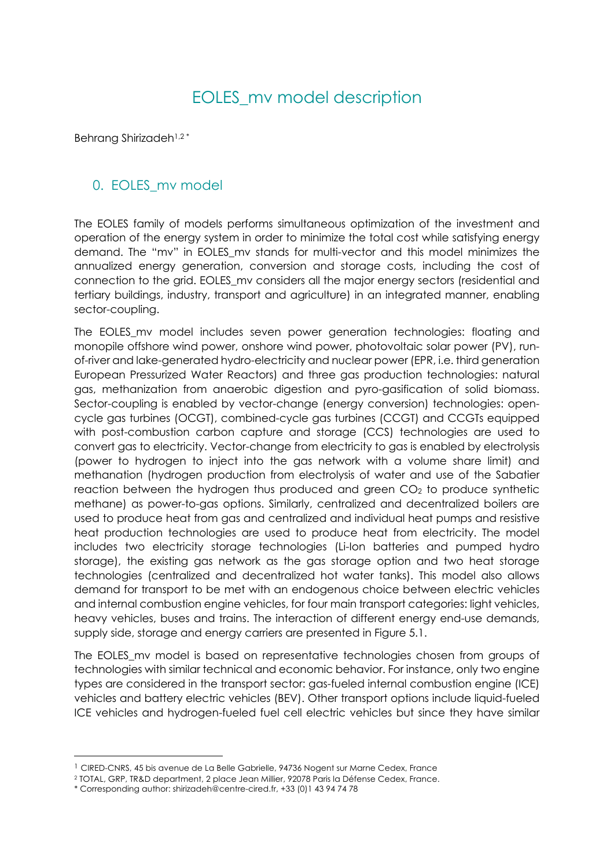# EOLES\_mv model description

Behrang Shirizadeh1,2 \*

## 0. EOLES mv model

The EOLES family of models performs simultaneous optimization of the investment and operation of the energy system in order to minimize the total cost while satisfying energy demand. The "mv" in EOLES\_mv stands for multi-vector and this model minimizes the annualized energy generation, conversion and storage costs, including the cost of connection to the grid. EOLES\_mv considers all the major energy sectors (residential and tertiary buildings, industry, transport and agriculture) in an integrated manner, enabling sector-coupling.

The EOLES\_mv model includes seven power generation technologies: floating and monopile offshore wind power, onshore wind power, photovoltaic solar power (PV), runof-river and lake-generated hydro-electricity and nuclear power (EPR, i.e. third generation European Pressurized Water Reactors) and three gas production technologies: natural gas, methanization from anaerobic digestion and pyro-gasification of solid biomass. Sector-coupling is enabled by vector-change (energy conversion) technologies: opencycle gas turbines (OCGT), combined-cycle gas turbines (CCGT) and CCGTs equipped with post-combustion carbon capture and storage (CCS) technologies are used to convert gas to electricity. Vector-change from electricity to gas is enabled by electrolysis (power to hydrogen to inject into the gas network with a volume share limit) and methanation (hydrogen production from electrolysis of water and use of the Sabatier reaction between the hydrogen thus produced and green CO<sub>2</sub> to produce synthetic methane) as power-to-gas options. Similarly, centralized and decentralized boilers are used to produce heat from gas and centralized and individual heat pumps and resistive heat production technologies are used to produce heat from electricity. The model includes two electricity storage technologies (Li-Ion batteries and pumped hydro storage), the existing gas network as the gas storage option and two heat storage technologies (centralized and decentralized hot water tanks). This model also allows demand for transport to be met with an endogenous choice between electric vehicles and internal combustion engine vehicles, for four main transport categories: light vehicles, heavy vehicles, buses and trains. The interaction of different energy end-use demands, supply side, storage and energy carriers are presented in Figure 5.1.

The EOLES\_mv model is based on representative technologies chosen from groups of technologies with similar technical and economic behavior. For instance, only two engine types are considered in the transport sector: gas-fueled internal combustion engine (ICE) vehicles and battery electric vehicles (BEV). Other transport options include liquid-fueled ICE vehicles and hydrogen-fueled fuel cell electric vehicles but since they have similar

 $<sup>1</sup>$  CIRED-CNRS, 45 bis avenue de La Belle Gabrielle, 94736 Nogent sur Marne Cedex, France</sup>

<sup>2</sup> TOTAL, GRP, TR&D department, 2 place Jean Millier, 92078 Paris la Défense Cedex, France.

<sup>\*</sup> Corresponding author: shirizadeh@centre-cired.fr, +33 (0)1 43 94 74 78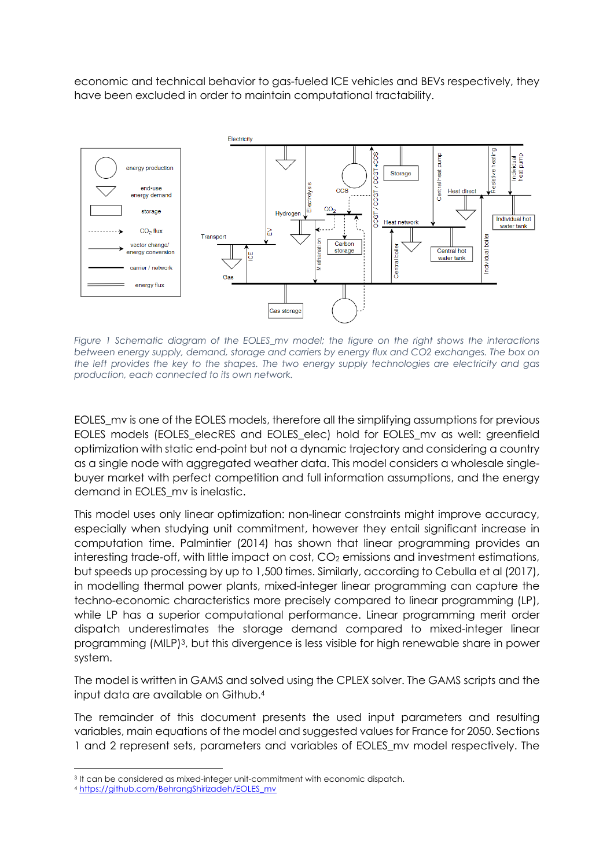economic and technical behavior to gas-fueled ICE vehicles and BEVs respectively, they have been excluded in order to maintain computational tractability.



*Figure 1 Schematic diagram of the EOLES\_mv model; the figure on the right shows the interactions between energy supply, demand, storage and carriers by energy flux and CO2 exchanges. The box on the left provides the key to the shapes. The two energy supply technologies are electricity and gas production, each connected to its own network.*

EOLES\_mv is one of the EOLES models, therefore all the simplifying assumptions for previous EOLES models (EOLES\_elecRES and EOLES\_elec) hold for EOLES\_mv as well: greenfield optimization with static end-point but not a dynamic trajectory and considering a country as a single node with aggregated weather data. This model considers a wholesale singlebuyer market with perfect competition and full information assumptions, and the energy demand in EOLES my is inelastic.

This model uses only linear optimization: non-linear constraints might improve accuracy, especially when studying unit commitment, however they entail significant increase in computation time. Palmintier (2014) has shown that linear programming provides an interesting trade-off, with little impact on cost, CO<sub>2</sub> emissions and investment estimations, but speeds up processing by up to 1,500 times. Similarly, according to Cebulla et al (2017), in modelling thermal power plants, mixed-integer linear programming can capture the techno-economic characteristics more precisely compared to linear programming (LP), while LP has a superior computational performance. Linear programming merit order dispatch underestimates the storage demand compared to mixed-integer linear programming (MILP)3, but this divergence is less visible for high renewable share in power system.

The model is written in GAMS and solved using the CPLEX solver. The GAMS scripts and the input data are available on Github.4

The remainder of this document presents the used input parameters and resulting variables, main equations of the model and suggested values for France for 2050. Sections 1 and 2 represent sets, parameters and variables of EOLES\_mv model respectively. The

<sup>3</sup> It can be considered as mixed-integer unit-commitment with economic dispatch.

<sup>4</sup> https://github.com/BehrangShirizadeh/EOLES\_mv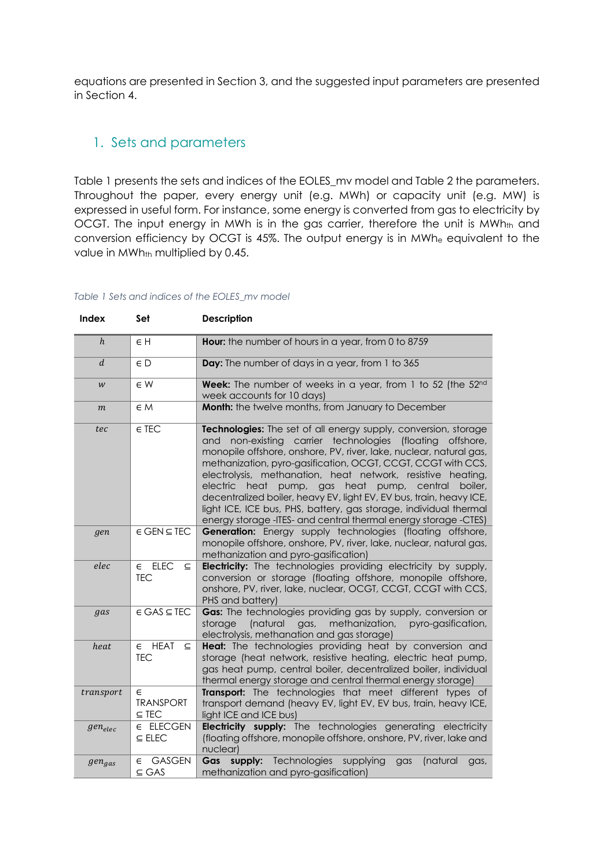equations are presented in Section 3, and the suggested input parameters are presented in Section 4.

# 1. Sets and parameters

Table 1 presents the sets and indices of the EOLES\_mv model and Table 2 the parameters. Throughout the paper, every energy unit (e.g. MWh) or capacity unit (e.g. MW) is expressed in useful form. For instance, some energy is converted from gas to electricity by OCGT. The input energy in MWh is in the gas carrier, therefore the unit is MWh<sub>th</sub> and conversion efficiency by OCGT is 45%. The output energy is in MWhe equivalent to the value in MWh<sub>th</sub> multiplied by 0.45.

#### *Table 1 Sets and indices of the EOLES\_mv model*

| <b>Index</b>     | Set                                                    | <b>Description</b>                                                                                                                                                                                                                                                                                                                                                                                                                                                                                                                                                                                                              |
|------------------|--------------------------------------------------------|---------------------------------------------------------------------------------------------------------------------------------------------------------------------------------------------------------------------------------------------------------------------------------------------------------------------------------------------------------------------------------------------------------------------------------------------------------------------------------------------------------------------------------------------------------------------------------------------------------------------------------|
| $\boldsymbol{h}$ | $\in H$                                                | Hour: the number of hours in a year, from 0 to 8759                                                                                                                                                                                                                                                                                                                                                                                                                                                                                                                                                                             |
| $\boldsymbol{d}$ | $\in D$                                                | Day: The number of days in a year, from 1 to 365                                                                                                                                                                                                                                                                                                                                                                                                                                                                                                                                                                                |
| W                | $\in \mathsf{W}$                                       | Week: The number of weeks in a year, from 1 to 52 (the 52nd<br>week accounts for 10 days)                                                                                                                                                                                                                                                                                                                                                                                                                                                                                                                                       |
| $\boldsymbol{m}$ | $\in M$                                                | Month: the twelve months, from January to December                                                                                                                                                                                                                                                                                                                                                                                                                                                                                                                                                                              |
| tec              | $\in$ TEC                                              | Technologies: The set of all energy supply, conversion, storage<br>and non-existing carrier technologies<br>(floating)<br>offshore,<br>monopile offshore, onshore, PV, river, lake, nuclear, natural gas,<br>methanization, pyro-gasification, OCGT, CCGT, CCGT with CCS,<br>electrolysis, methanation, heat network, resistive heating,<br>electric<br>heat<br>pump, gas<br>heat<br>pump,<br>central<br>boiler.<br>decentralized boiler, heavy EV, light EV, EV bus, train, heavy ICE,<br>light ICE, ICE bus, PHS, battery, gas storage, individual thermal<br>energy storage -ITES- and central thermal energy storage -CTES) |
| gen              | $\in$ GEN $\subseteq$ TEC                              | Generation: Energy supply technologies (floating offshore,<br>monopile offshore, onshore, PV, river, lake, nuclear, natural gas,<br>methanization and pyro-gasification)                                                                                                                                                                                                                                                                                                                                                                                                                                                        |
| elec             | $E$ ELEC<br>$\subseteq$<br><b>TEC</b>                  | Electricity: The technologies providing electricity by supply,<br>conversion or storage (floating offshore, monopile offshore,<br>onshore, PV, river, lake, nuclear, OCGT, CCGT, CCGT with CCS,<br>PHS and battery)                                                                                                                                                                                                                                                                                                                                                                                                             |
| gas              | $\in$ GAS $\subseteq$ TEC                              | Gas: The technologies providing gas by supply, conversion or<br>(natural<br>methanization,<br>pyro-gasification,<br>storage<br>gas,<br>electrolysis, methanation and gas storage)                                                                                                                                                                                                                                                                                                                                                                                                                                               |
| heat             | <b>HEAT</b><br>$\epsilon$<br>$\subseteq$<br><b>TEC</b> | Heat: The technologies providing heat by conversion and<br>storage (heat network, resistive heating, electric heat pump,<br>gas heat pump, central boiler, decentralized boiler, individual<br>thermal energy storage and central thermal energy storage)                                                                                                                                                                                                                                                                                                                                                                       |
| transport        | $\epsilon$<br><b>TRANSPORT</b><br>$\subseteq$ TEC      | Transport: The technologies that meet different types of<br>transport demand (heavy EV, light EV, EV bus, train, heavy ICE,<br>light ICE and ICE bus)                                                                                                                                                                                                                                                                                                                                                                                                                                                                           |
| $gen_{elec}$     | E ELECGEN<br>$\subseteq$ ELEC                          | Electricity supply: The technologies generating electricity<br>(floating offshore, monopile offshore, onshore, PV, river, lake and<br>nuclear)                                                                                                                                                                                                                                                                                                                                                                                                                                                                                  |
| $gen_{gas}$      | <b>GASGEN</b><br>$\epsilon$<br>$\subseteq$ GAS         | Technologies<br>Gas<br>supply:<br>supplying<br>(natural<br>gas<br>gas,<br>methanization and pyro-gasification)                                                                                                                                                                                                                                                                                                                                                                                                                                                                                                                  |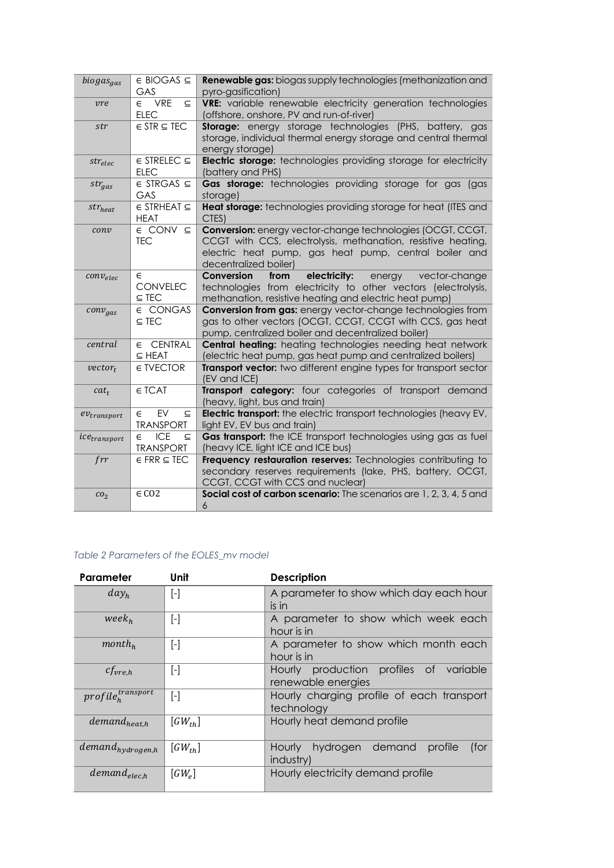| biogas <sub>gas</sub>          | $\in$ BIOGAS $\subseteq$<br>GAS                             | Renewable gas: biogas supply technologies (methanization and<br>pyro-gasification)                                                                                                                           |
|--------------------------------|-------------------------------------------------------------|--------------------------------------------------------------------------------------------------------------------------------------------------------------------------------------------------------------|
| vre                            | $\epsilon$ VRE<br>$\subseteq$<br><b>ELEC</b>                | VRE: variable renewable electricity generation technologies<br>(offshore, onshore, PV and run-of-river)                                                                                                      |
| str                            | $\in$ STR $\subseteq$ TEC                                   | <b>Storage:</b> energy storage technologies (PHS, battery, gas<br>storage, individual thermal energy storage and central thermal<br>energy storage)                                                          |
| $str_{elec}$                   | $\in$ STRELEC $\subseteq$<br><b>ELEC</b>                    | Electric storage: technologies providing storage for electricity<br>(battery and PHS)                                                                                                                        |
| $str_{gas}$                    | $\in$ STRGAS $\subseteq$<br>GAS                             | Gas storage: technologies providing storage for gas (gas<br>storage)                                                                                                                                         |
| $str_{heat}$                   | $\in$ STRHEAT $\subseteq$<br><b>HEAT</b>                    | Heat storage: technologies providing storage for heat (ITES and<br>CTES)                                                                                                                                     |
| conv                           | $\in$ CONV $\subseteq$<br><b>TEC</b>                        | Conversion: energy vector-change technologies (OCGT, CCGT,<br>CCGT with CCS, electrolysis, methanation, resistive heating,<br>electric heat pump, gas heat pump, central boiler and<br>decentralized boiler) |
| $conv_{elec}$                  | $\epsilon$<br><b>CONVELEC</b><br>$\subseteq$ TEC            | electricity:<br>Conversion<br>from<br>energy<br>vector-change<br>technologies from electricity to other vectors (electrolysis,<br>methanation, resistive heating and electric heat pump)                     |
| $conv_{gas}$                   | € CONGAS<br>$\subseteq$ TEC                                 | <b>Conversion from gas:</b> energy vector-change technologies from<br>gas to other vectors (OCGT, CCGT, CCGT with CCS, gas heat<br>pump, centralized boiler and decentralized boiler)                        |
| central                        | ∈ CENTRAL<br>$\subseteq$ HEAT                               | <b>Central heating:</b> heating technologies needing heat network<br>(electric heat pump, gas heat pump and centralized boilers)                                                                             |
| $vector_t$                     | <b>∈ TVECTOR</b>                                            | Transport vector: two different engine types for transport sector<br>(EV and ICE)                                                                                                                            |
| cat <sub>t</sub>               | <b>∈ TCAT</b>                                               | Transport category: four categories of transport demand<br>(heavy, light, bus and train)                                                                                                                     |
| $ev_{transport}$               | EV<br>$\epsilon$<br>$\subseteq$<br><b>TRANSPORT</b>         | <b>Electric transport:</b> the electric transport technologies (heavy EV,<br>light EV, EV bus and train)                                                                                                     |
| <i>ice<sub>transport</sub></i> | <b>ICE</b><br>$\epsilon$<br>$\subseteq$<br><b>TRANSPORT</b> | Gas transport: the ICE transport technologies using gas as fuel<br>(heavy ICE, light ICE and ICE bus)                                                                                                        |
| frr                            | $\in$ FRR $\subseteq$ TEC                                   | Frequency restauration reserves: Technologies contributing to<br>secondary reserves requirements (lake, PHS, battery, OCGT,<br>CCGT, CCGT with CCS and nuclear)                                              |
| CO <sub>2</sub>                | $\in \mathbb{C}02$                                          | Social cost of carbon scenario: The scenarios are 1, 2, 3, 4, 5 and<br>$\overline{6}$                                                                                                                        |

#### *Table 2 Parameters of the EOLES\_mv model*

| Parameter               | Unit                      | <b>Description</b>                                           |  |  |  |  |  |  |
|-------------------------|---------------------------|--------------------------------------------------------------|--|--|--|--|--|--|
| day <sub>h</sub>        | $[\cdot]$                 | A parameter to show which day each hour<br>is in             |  |  |  |  |  |  |
| week <sub>h</sub>       | $[\cdot]$                 | A parameter to show which week each<br>hour is in            |  |  |  |  |  |  |
| $month_h$               | $\lceil - \rceil$         | A parameter to show which month each<br>hour is in           |  |  |  |  |  |  |
| $cf_{vre.h}$            | $[\cdot]$                 | Hourly production profiles of variable<br>renewable energies |  |  |  |  |  |  |
| $profile_h^{transport}$ | $[\cdot]$                 | Hourly charging profile of each transport<br>technology      |  |  |  |  |  |  |
| $demand_{heat,h}$       | $\left[ GW_{th} \right]$  | Hourly heat demand profile                                   |  |  |  |  |  |  |
| $demand_{hydrogen,h}$   | $\left[ GW_{th} \right]$  | hydrogen demand<br>(for<br>Hourly<br>profile<br>industry)    |  |  |  |  |  |  |
| $demand_{elec,h}$       | $\lceil GW_{\rho} \rceil$ | Hourly electricity demand profile                            |  |  |  |  |  |  |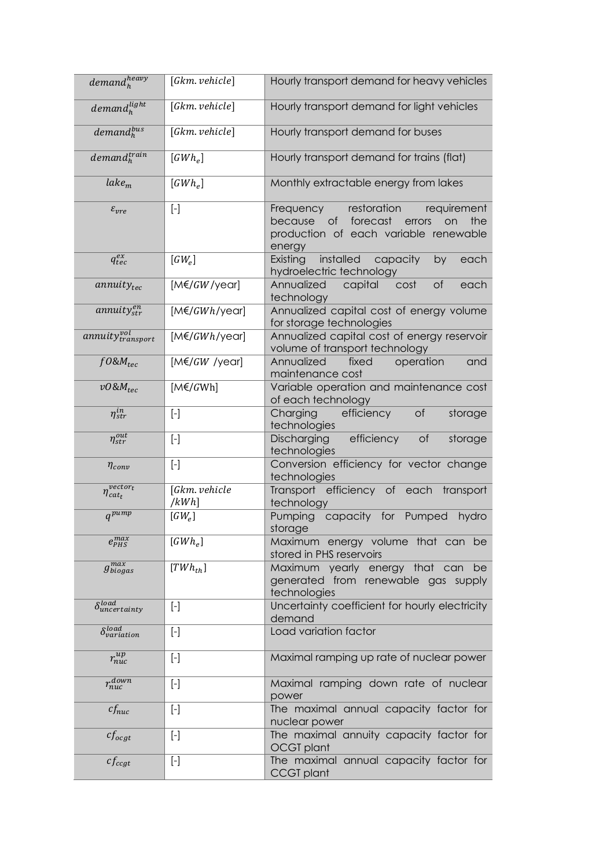| $demand_h^{heavy}$                          | [Gkm. vehicle]                                                                                                                                                                                                                                                                                                                                                                                                                                                                                                                                                                                                                                                                                                     | Hourly transport demand for heavy vehicles                                                                                                  |
|---------------------------------------------|--------------------------------------------------------------------------------------------------------------------------------------------------------------------------------------------------------------------------------------------------------------------------------------------------------------------------------------------------------------------------------------------------------------------------------------------------------------------------------------------------------------------------------------------------------------------------------------------------------------------------------------------------------------------------------------------------------------------|---------------------------------------------------------------------------------------------------------------------------------------------|
| $demand_h^{light}$                          | [Gkm. vehicle]                                                                                                                                                                                                                                                                                                                                                                                                                                                                                                                                                                                                                                                                                                     | Hourly transport demand for light vehicles                                                                                                  |
| $demand_h^{bus}$                            | [Gkm. vehicle]                                                                                                                                                                                                                                                                                                                                                                                                                                                                                                                                                                                                                                                                                                     | Hourly transport demand for buses                                                                                                           |
| $demand_h^{train}$                          | $[GWh_e]$                                                                                                                                                                                                                                                                                                                                                                                                                                                                                                                                                                                                                                                                                                          | Hourly transport demand for trains (flat)                                                                                                   |
| $\textit{label}_m$                          | $[GWh_e]$                                                                                                                                                                                                                                                                                                                                                                                                                                                                                                                                                                                                                                                                                                          | Monthly extractable energy from lakes                                                                                                       |
| $\varepsilon_{vre}$                         | $\left[ -\right] % \includegraphics[width=0.9\columnwidth]{figures/fig_2b.pdf} \caption{The graph $\mathcal{N}_1$ is a function of the parameter $\mathcal{N}_1$ and $\mathcal{N}_2$ is a function of the parameter $\mathcal{N}_1$ and $\mathcal{N}_2$ is a function of the parameter $\mathcal{N}_1$ and $\mathcal{N}_2$ is a function of the parameter $\mathcal{N}_1$ and $\mathcal{N}_2$ is a function of the parameter $\mathcal{N}_1$ and $\mathcal{N}_2$ is a function of the parameter $\mathcal{N}_1$ and $\mathcal{N}_2$ is a function of the parameter $\mathcal{N}_1$.} \label{fig:1}$                                                                                                                | restoration<br>requirement<br>Frequency<br>of forecast<br>because<br>the<br>errors<br>on<br>production of each variable renewable<br>energy |
| $q_{tec}^{ex}$                              | $[GW_e]$                                                                                                                                                                                                                                                                                                                                                                                                                                                                                                                                                                                                                                                                                                           | installed<br>Existing<br>capacity<br>by<br>each<br>hydroelectric technology                                                                 |
| $annuity_{tec}$                             | $[M \in GW/\gamma$ ear]                                                                                                                                                                                                                                                                                                                                                                                                                                                                                                                                                                                                                                                                                            | of<br>Annualized<br>capital<br>cost<br>each<br>technology                                                                                   |
| annuity $_{str}^{en}$                       | $[M \in GWh/year]$                                                                                                                                                                                                                                                                                                                                                                                                                                                                                                                                                                                                                                                                                                 | Annualized capital cost of energy volume<br>for storage technologies                                                                        |
| annuity <sup>vol</sup> <sub>transport</sub> | $[M \in GWh/year]$                                                                                                                                                                                                                                                                                                                                                                                                                                                                                                                                                                                                                                                                                                 | Annualized capital cost of energy reservoir<br>volume of transport technology                                                               |
| $f0\&M_{tec}$                               | $[M \in GW$ /year]                                                                                                                                                                                                                                                                                                                                                                                                                                                                                                                                                                                                                                                                                                 | Annualized<br>fixed<br>operation<br>and<br>maintenance cost                                                                                 |
| $v0$ & $M_{tec}$                            | $[M\notin/GWh]$                                                                                                                                                                                                                                                                                                                                                                                                                                                                                                                                                                                                                                                                                                    | Variable operation and maintenance cost<br>of each technology                                                                               |
| $\eta_{str}^{in}$                           | $\left[ -\right] % \includegraphics[width=0.9\textwidth]{images/TrDiS/NR_WI_1.png} % \caption{The first two different values of $1$ and $1\leq i\leq n$ with the same interval $X$. The first two different values of $1$ and $1\leq i\leq n$ with the same interval $X$. The first two different values of $1\leq i\leq n$ with the same interval $X$. The first two different values of $1\leq i\leq n$ with the same interval $X$. The first two different values of $1\leq i\leq n$ with the same interval $X$. The first two different values of $1\leq i\leq n$ with the same interval $X$. The first two different values of $1\leq i\leq n$ with the same interval $X$. The first two different values of$ | efficiency<br>of<br>Charging<br>storage<br>technologies                                                                                     |
| $\eta_{str}^{out}$                          | $\left[ \begin{smallmatrix} - \end{smallmatrix} \right]$                                                                                                                                                                                                                                                                                                                                                                                                                                                                                                                                                                                                                                                           | efficiency<br>Discharging<br>of<br>storage<br>technologies                                                                                  |
| $\eta_{conv}$                               | $\left[ -\right] % \begin{minipage}[b]{.45\linewidth} \centering \includegraphics[width=\linewidth]{images/Example_14]{Example_144m100.pdf} \caption{The image shows the number of times of the number of times.} \label{fig:Example_144m10_144} \end{minipage} \ \vspace{-.5cm} \begin{minipage}[b]{.45\linewidth} \centering \includegraphics[width=\linewidth]{images/Example_144m10_14} \caption{The 3D (blue) model is used for the number of times.} \label{fig:Example_144m10_144} \end{minipage} \vspace{-.5cm} \begin{minipage}[b]{.45\linewidth} \centering \includegraphics[width=\$                                                                                                                    | Conversion efficiency for vector change<br>technologies                                                                                     |
| $vector_t$<br>$\eta_{cat_t}$                | [Gkm. vehicle<br>/kWh                                                                                                                                                                                                                                                                                                                                                                                                                                                                                                                                                                                                                                                                                              | Transport efficiency of each transport<br>technology                                                                                        |
| $q^{pump}$                                  | $[GW_e]$                                                                                                                                                                                                                                                                                                                                                                                                                                                                                                                                                                                                                                                                                                           | capacity for Pumped<br>Pumping<br>hydro<br>storage                                                                                          |
| $e_{PHS}^{max}$                             | $[GWh_e]$                                                                                                                                                                                                                                                                                                                                                                                                                                                                                                                                                                                                                                                                                                          | Maximum energy volume that can be<br>stored in PHS reservoirs                                                                               |
| $g_{biogas}^{max}$                          | $[TWh_{th}]$                                                                                                                                                                                                                                                                                                                                                                                                                                                                                                                                                                                                                                                                                                       | Maximum yearly<br>energy that can<br>be<br>generated from renewable gas supply<br>technologies                                              |
| $\delta_{uncertainty}^{load}$               | $\left[ -\right] % \includegraphics[width=0.9\textwidth]{images/TrDiS/NR_WM_FAM.png} % \caption{The first two different values of $M=1$ and $M=100$~nS/NR_WM_FAM.png} % \label{TrDiS/NR_WM_FAM} %$                                                                                                                                                                                                                                                                                                                                                                                                                                                                                                                 | Uncertainty coefficient for hourly electricity<br>demand                                                                                    |
| $\delta_{variation}^{load}$                 | $\left[ -\right] % \begin{minipage}[b]{.45\linewidth} \centering \includegraphics[width=\linewidth]{images/Example_14]{Example_144m100.pdf} \caption{The image shows the number of times of the number of times.} \label{fig:Example_144m10_144} \end{minipage} \ \vspace{-.5cm} \begin{minipage}[b]{.45\linewidth} \centering \includegraphics[width=\linewidth]{images/Example_144m10_14} \caption{The 3D (blue) model is used for the number of times.} \label{fig:Example_144m10_144} \end{minipage} \vspace{-.5cm} \begin{minipage}[b]{.45\linewidth} \centering \includegraphics[width=\$                                                                                                                    | Load variation factor                                                                                                                       |
| $r_{nuc}^{up}$                              | $\left[ -\right] % \includegraphics[width=0.9\textwidth]{images/TrDiS/NR_WM_FAM.png} % \caption{The first two different values of $M=1$ and $M=100$~nS/NR_WM_FAM.png} % \label{TrDiS/NR_WM_FAM} %$                                                                                                                                                                                                                                                                                                                                                                                                                                                                                                                 | Maximal ramping up rate of nuclear power                                                                                                    |
| $r_{nuc}^{down}$                            | $\left[ \begin{smallmatrix} - \end{smallmatrix} \right]$                                                                                                                                                                                                                                                                                                                                                                                                                                                                                                                                                                                                                                                           | Maximal ramping down rate of nuclear<br>power                                                                                               |
| $cf_{nuc}$                                  | $\left[ -\right] % \begin{minipage}[b]{.45\linewidth} \centering \includegraphics[width=\linewidth]{images/Example_14]{Example_144m100.pdf} \caption{The image shows the number of times of the number of times.} \label{fig:Example_144m10_144} \end{minipage} \ \vspace{-.5cm} \begin{minipage}[b]{.45\linewidth} \centering \includegraphics[width=\linewidth]{images/Example_144m10_14} \caption{The 3D (blue) and 4D (blue) are the number of times.} \label{fig:Example_144m10_144} \end{minipage} \vspace{-.5cm} \begin{minipage}[b]{.45\linewidth} \centering \include$                                                                                                                                    | The maximal annual capacity factor for<br>nuclear power                                                                                     |
| $cf_{ocgt}$                                 | $[\cdot]$                                                                                                                                                                                                                                                                                                                                                                                                                                                                                                                                                                                                                                                                                                          | The maximal annuity capacity factor for<br><b>OCGT</b> plant                                                                                |
| $cf_{ccgt}$                                 | $\left[ -\right] % \begin{minipage}[b]{.45\linewidth} \centering \includegraphics[width=\linewidth]{images/Example_14]{Example_144m100.pdf} \caption{The image shows the number of times of the number of times.} \label{fig:Example_144m10_144} \end{minipage} \ \vspace{-.5cm} \begin{minipage}[b]{.45\linewidth} \centering \includegraphics[width=\linewidth]{images/Example_144m10_14} \caption{The 3D (blue) and 4D (blue) are the number of times.} \label{fig:Example_144m10_144} \end{minipage} \vspace{-.5cm} \begin{minipage}[b]{.45\linewidth} \centering \include$                                                                                                                                    | The maximal annual capacity factor for<br><b>CCGT</b> plant                                                                                 |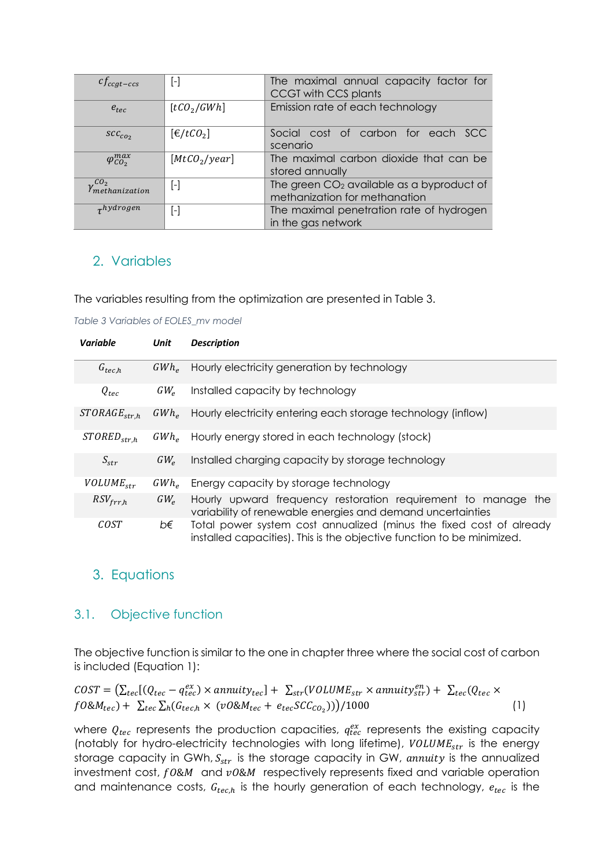| $cf_{ccgt-ccs}$                          | [-]                                  | The maximal annual capacity factor for<br>CCGT with CCS plants               |  |  |  |  |  |  |  |
|------------------------------------------|--------------------------------------|------------------------------------------------------------------------------|--|--|--|--|--|--|--|
| $e_{\text{rec}}$                         | [tCO <sub>2</sub> /GWh]              | Emission rate of each technology                                             |  |  |  |  |  |  |  |
| $SCC_{CO2}$                              | $\left[\frac{\epsilon}{tC_0}\right]$ | Social cost of carbon for each SCC<br>scenario                               |  |  |  |  |  |  |  |
| $\varphi_{CO_2}^{max}$                   | [MtCO <sub>2</sub> /year]            | The maximal carbon dioxide that can be<br>stored annually                    |  |  |  |  |  |  |  |
| CO <sub>2</sub><br><i>Ymethanization</i> | -1                                   | The green $CO2$ available as a byproduct of<br>methanization for methanation |  |  |  |  |  |  |  |
| $\tau$ hydrogen                          | [-]                                  | The maximal penetration rate of hydrogen<br>in the gas network               |  |  |  |  |  |  |  |

# 2. Variables

The variables resulting from the optimization are presented in Table 3.

*Table 3 Variables of EOLES\_mv model*

| Variable          | Unit         | <b>Description</b>                                                                                                                            |
|-------------------|--------------|-----------------------------------------------------------------------------------------------------------------------------------------------|
| $G_{tec,h}$       | $GWh_e$      | Hourly electricity generation by technology                                                                                                   |
| $Q_{tec}$         | $GW_{\circ}$ | Installed capacity by technology                                                                                                              |
| $STORAGE_{str.h}$ | $GWh_e$      | Hourly electricity entering each storage technology (inflow)                                                                                  |
| $STORED_{str,h}$  | $GWh_{\rho}$ | Hourly energy stored in each technology (stock)                                                                                               |
| $S_{str}$         | $GW_{\circ}$ | Installed charging capacity by storage technology                                                                                             |
| $VOLUME_{str}$    | $GWh_{\rho}$ | Energy capacity by storage technology                                                                                                         |
| $RSV_{frr,h}$     | $GW_{\rho}$  | Hourly upward frequency restoration requirement to manage the<br>variability of renewable energies and demand uncertainties                   |
| COST              | b€           | Total power system cost annualized (minus the fixed cost of already<br>installed capacities). This is the objective function to be minimized. |

# 3. Equations

# 3.1. Objective function

The objective function is similar to the one in chapter three where the social cost of carbon is included (Equation 1):

 $\textit{COST} = (\sum_{tec} [ (Q_{tec} - q_{tec}^{ex}) \times annuity_{tec} ] + \sum_{str} (VOLUME_{str} \times annuity_{str}^{en}) + \sum_{tec} (Q_{tec} \times$  $f0\&M_{tec}) + \sum_{tec} \sum_{h} (G_{tec,h} \times (v0\&M_{tec} + e_{tec} SCC_{CO_2})))/1000$  (1)

where  $Q_{tec}$  represents the production capacities,  $q_{tec}^{ex}$  represents the existing capacity (notably for hydro-electricity technologies with long lifetime),  $VOLUME_{str}$  is the energy storage capacity in GWh,  $S_{str}$  is the storage capacity in GW, annuity is the annualized investment cost,  $f0&M$  and  $v0&M$  respectively represents fixed and variable operation and maintenance costs,  $G_{tec,h}$  is the hourly generation of each technology,  $e_{tec}$  is the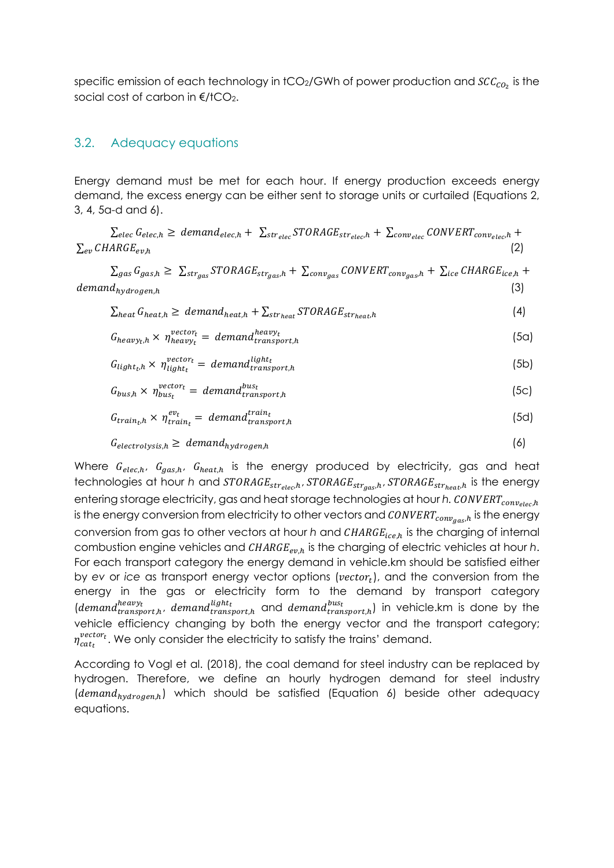specific emission of each technology in tCO2/GWh of power production and  $SCC_{CO_2}$  is the social cost of carbon in  $E/$ tCO<sub>2</sub>.

#### 3.2. Adequacy equations

Energy demand must be met for each hour. If energy production exceeds energy demand, the excess energy can be either sent to storage units or curtailed (Equations 2, 3, 4, 5a-d and 6).

 $\sum_{elec} G_{elec,h} \geq demand_{elec,h} + \sum_{strelec} STORAGE_{str_{elec},h} + \sum_{conv_{elec}} CONVERT_{conv_{elec},h} +$  $\sum_{e}$  CHARGE<sub>en h</sub> (2)

 $\sum_{gas} G_{gas,h} \geq \sum_{str_{gas}} STORAGE_{str_{gas,h}} + \sum_{conv_{gas}} CONVERT_{conv_{gas,h}} + \sum_{ice} CHARGE_{ice,h} +$  $demand_{nvaro aen.h}$  (3)

$$
\sum_{heat} G_{heat,h} \geq demand_{heat,h} + \sum_{str_{heat}} STORAGE_{str_{heat,h}} \tag{4}
$$

$$
G_{heavy_t,h} \times \eta_{heavy_t}^{vector_t} = demand_{transport,h}^{heavy_t}
$$
 (5a)

$$
G_{light_t,h} \times \eta_{light_t}^{vector_t} = demand_{transport,h}^{light_t}
$$
 (5b)

$$
G_{bus,h} \times \eta_{bus_t}^{vector_t} = demand_{transport,h}^{bus_t}
$$
 (5c)

$$
G_{train_t,h} \times \eta_{train_t}^{ev_t} = demand_{transport,h}^{train_t}
$$
 (5d)

$$
G_{electrolysis,h} \geq demand_{hydrogen,h}
$$
 (6)

Where  $G_{elech}$ ,  $G_{aas,h}$ ,  $G_{heat,h}$  is the energy produced by electricity, gas and heat technologies at hour *h* and  $STORAGE_{str_{elec},h}$ ,  $STORAGE_{str_{gas},h}$ ,  $STORAGE_{str_{heat},h}$  is the energy entering storage electricity, gas and heat storage technologies at hour *h. CONVERT*<sub>convelec</sub>,h is the energy conversion from electricity to other vectors and  $\textit{CONVERT}_{conv_{aas,h}}$  is the energy conversion from gas to other vectors at hour *h* and CHARGE<sub>ice,h</sub> is the charging of internal combustion engine vehicles and *CHARGE<sub>ev.h</sub>* is the charging of electric vehicles at hour *h*. For each transport category the energy demand in vehicle.km should be satisfied either by ev or *ice* as transport energy vector options (vector<sub>t</sub>), and the conversion from the energy in the gas or electricity form to the demand by transport category (demand ${}_{transport,h}^{heavy_t}$ , demand ${}_{transport,h}^{light_t}$  and demand ${}_{transport,h}^{bus_t}$ ) in vehicle.km is done by the vehicle efficiency changing by both the energy vector and the transport category;  $\eta^{vector}_{cat_t}$  . We only consider the electricity to satisfy the trains' demand.

According to Vogl et al. (2018), the coal demand for steel industry can be replaced by hydrogen. Therefore, we define an hourly hydrogen demand for steel industry  $(demand<sub>hydrogen h</sub>)$  which should be satisfied (Equation 6) beside other adequacy equations.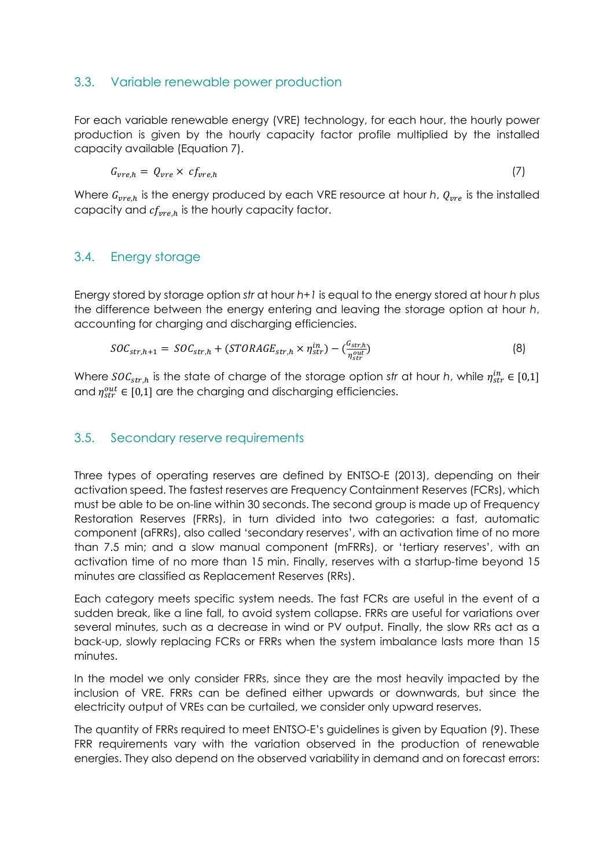#### 3.3. Variable renewable power production

For each variable renewable energy (VRE) technology, for each hour, the hourly power production is given by the hourly capacity factor profile multiplied by the installed capacity available (Equation 7).

$$
G_{vre,h} = Q_{vre} \times cf_{vre,h} \tag{7}
$$

Where  $G_{vre,h}$  is the energy produced by each VRE resource at hour *h*,  $Q_{vre}$  is the installed capacity and  $cf_{vre,h}$  is the hourly capacity factor.

#### 3.4. Energy storage

Energy stored by storage option *str* at hour *h+1* is equal to the energy stored at hour *h* plus the difference between the energy entering and leaving the storage option at hour *h*, accounting for charging and discharging efficiencies.

$$
SOC_{str,h+1} = SOC_{str,h} + (STORAGE_{str,h} \times \eta_{str}^{in}) - (\frac{G_{str,h}}{\eta_{str}^{out}})
$$
(8)

Where  $SOC_{str,h}$  is the state of charge of the storage option *str* at hour *h*, while  $\eta_{str}^{in} \in [0,1]$ and  $\eta_{str}^{out} \in [0,1]$  are the charging and discharging efficiencies.

#### 3.5. Secondary reserve requirements

Three types of operating reserves are defined by ENTSO-E (2013), depending on their activation speed. The fastest reserves are Frequency Containment Reserves (FCRs), which must be able to be on-line within 30 seconds. The second group is made up of Frequency Restoration Reserves (FRRs), in turn divided into two categories: a fast, automatic component (aFRRs), also called 'secondary reserves', with an activation time of no more than 7.5 min; and a slow manual component (mFRRs), or 'tertiary reserves', with an activation time of no more than 15 min. Finally, reserves with a startup-time beyond 15 minutes are classified as Replacement Reserves (RRs).

Each category meets specific system needs. The fast FCRs are useful in the event of a sudden break, like a line fall, to avoid system collapse. FRRs are useful for variations over several minutes, such as a decrease in wind or PV output. Finally, the slow RRs act as a back-up, slowly replacing FCRs or FRRs when the system imbalance lasts more than 15 minutes.

In the model we only consider FRRs, since they are the most heavily impacted by the inclusion of VRE. FRRs can be defined either upwards or downwards, but since the electricity output of VREs can be curtailed, we consider only upward reserves.

The quantity of FRRs required to meet ENTSO-E's guidelines is given by Equation (9). These FRR requirements vary with the variation observed in the production of renewable energies. They also depend on the observed variability in demand and on forecast errors: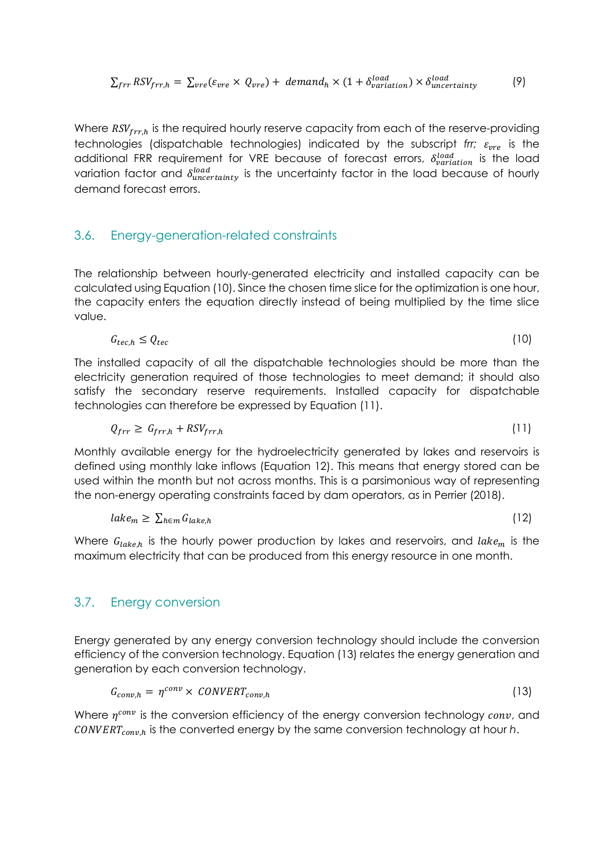$$
\sum_{frr} RSV_{frr,h} = \sum_{vre} (\varepsilon_{vre} \times Q_{vre}) + demand_h \times (1 + \delta_{variation}^{load}) \times \delta_{uncertainty}^{load}
$$
 (9)

Where  $RSV_{frr,h}$  is the required hourly reserve capacity from each of the reserve-providing technologies (dispatchable technologies) indicated by the subscript *frr;*  $\varepsilon_{\text{pre}}$  is the additional FRR requirement for VRE because of forecast errors,  $\delta_{variation}^{load}$  is the load variation factor and  $\delta_{uncertainty}^{load}$  is the uncertainty factor in the load because of hourly demand forecast errors.

#### 3.6. Energy-generation-related constraints

The relationship between hourly-generated electricity and installed capacity can be calculated using Equation (10). Since the chosen time slice for the optimization is one hour, the capacity enters the equation directly instead of being multiplied by the time slice value.

$$
G_{tec,h} \le Q_{tec} \tag{10}
$$

The installed capacity of all the dispatchable technologies should be more than the electricity generation required of those technologies to meet demand; it should also satisfy the secondary reserve requirements. Installed capacity for dispatchable technologies can therefore be expressed by Equation (11).

$$
Q_{frr} \geq G_{frr,h} + RSV_{frr,h} \tag{11}
$$

Monthly available energy for the hydroelectricity generated by lakes and reservoirs is defined using monthly lake inflows (Equation 12). This means that energy stored can be used within the month but not across months. This is a parsimonious way of representing the non-energy operating constraints faced by dam operators, as in Perrier (2018).

$$
lake_m \geq \sum_{h \in m} G_{lake,h} \tag{12}
$$

Where  $G_{lake,h}$  is the hourly power production by lakes and reservoirs, and  $lake_m$  is the maximum electricity that can be produced from this energy resource in one month.

#### 3.7. Energy conversion

Energy generated by any energy conversion technology should include the conversion efficiency of the conversion technology. Equation (13) relates the energy generation and generation by each conversion technology.

$$
G_{conv,h} = \eta^{conv} \times \text{CONVERT}_{conv,h} \tag{13}
$$

Where  $\eta^{conv}$  is the conversion efficiency of the energy conversion technology  $conv$ , and  $CONVERT_{conv,h}$  is the converted energy by the same conversion technology at hour  $h$ .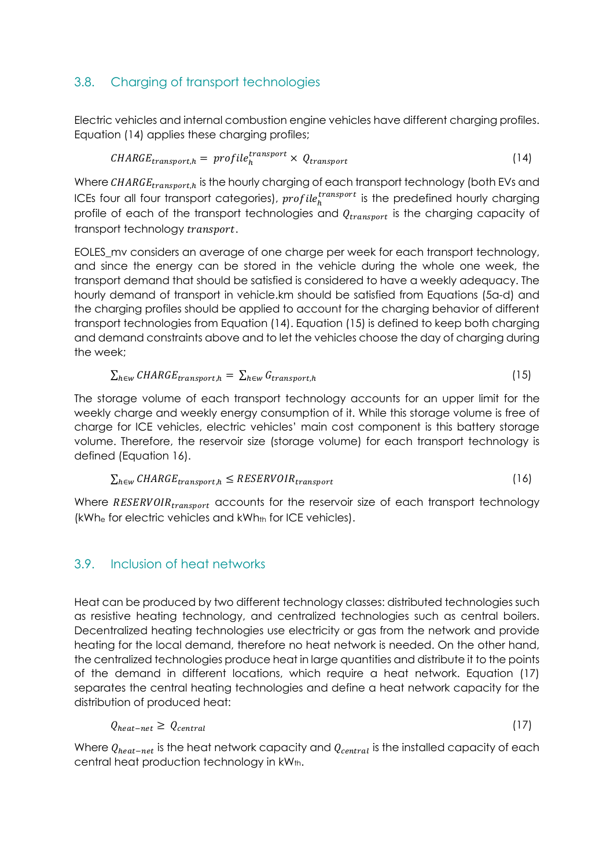# 3.8. Charging of transport technologies

Electric vehicles and internal combustion engine vehicles have different charging profiles. Equation (14) applies these charging profiles;

$$
CHARGE_{transport,h} = profile_{h}^{transport} \times Q_{transport}
$$
 (14)

Where  $\mathit{CHARGE}_{transport,h}$  is the hourly charging of each transport technology (both EVs and ICEs four all four transport categories),  $profile_h^{transport}$  is the predefined hourly charging profile of each of the transport technologies and  $Q_{transport}$  is the charging capacity of transport technology transport.

EOLES\_mv considers an average of one charge per week for each transport technology, and since the energy can be stored in the vehicle during the whole one week, the transport demand that should be satisfied is considered to have a weekly adequacy. The hourly demand of transport in vehicle.km should be satisfied from Equations (5a-d) and the charging profiles should be applied to account for the charging behavior of different transport technologies from Equation (14). Equation (15) is defined to keep both charging and demand constraints above and to let the vehicles choose the day of charging during the week;

$$
\sum_{h \in w} \mathit{CHARGE}_{transport,h} = \sum_{h \in w} G_{transport,h} \tag{15}
$$

The storage volume of each transport technology accounts for an upper limit for the weekly charge and weekly energy consumption of it. While this storage volume is free of charge for ICE vehicles, electric vehicles' main cost component is this battery storage volume. Therefore, the reservoir size (storage volume) for each transport technology is defined (Equation 16).

$$
\sum_{h \in w} \mathit{CHARGE}_{transport, h} \leq \mathit{RESERVOIR}_{transport} \tag{16}
$$

Where  $RESERVOIR_{transform}$  accounts for the reservoir size of each transport technology  $(kWh_e$  for electric vehicles and  $kWh_{th}$  for ICE vehicles).

### 3.9. Inclusion of heat networks

Heat can be produced by two different technology classes: distributed technologies such as resistive heating technology, and centralized technologies such as central boilers. Decentralized heating technologies use electricity or gas from the network and provide heating for the local demand, therefore no heat network is needed. On the other hand, the centralized technologies produce heat in large quantities and distribute it to the points of the demand in different locations, which require a heat network. Equation (17) separates the central heating technologies and define a heat network capacity for the distribution of produced heat:

$$
Q_{heat-net} \geq Q_{central} \tag{17}
$$

Where  $Q_{heat-net}$  is the heat network capacity and  $Q_{central}$  is the installed capacity of each central heat production technology in kWth.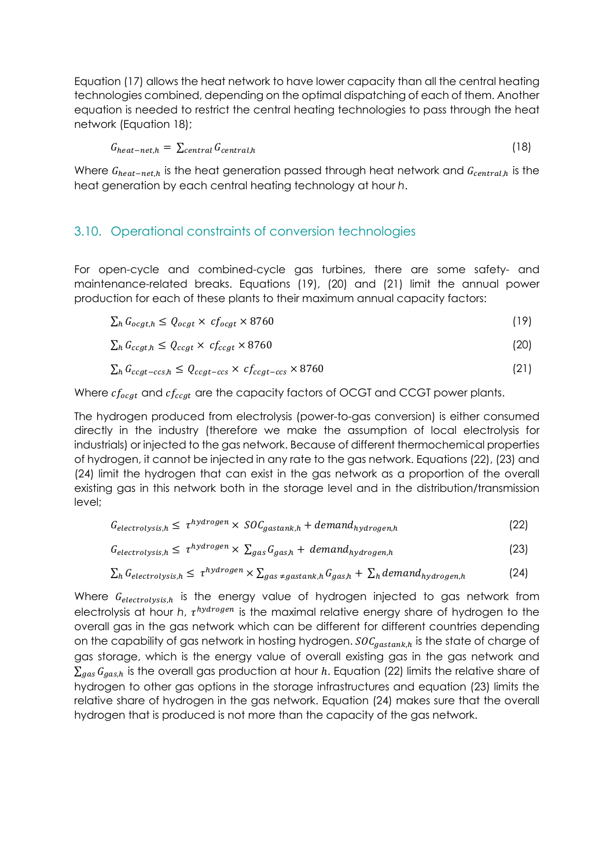Equation (17) allows the heat network to have lower capacity than all the central heating technologies combined, depending on the optimal dispatching of each of them. Another equation is needed to restrict the central heating technologies to pass through the heat network (Equation 18);

$$
G_{heat-net,h} = \sum_{central} G_{central,h}
$$
\n(18)

Where  $G_{heat-net.h}$  is the heat generation passed through heat network and  $G_{central.h}$  is the heat generation by each central heating technology at hour *h*.

#### 3.10. Operational constraints of conversion technologies

For open-cycle and combined-cycle gas turbines, there are some safety- and maintenance-related breaks. Equations (19), (20) and (21) limit the annual power production for each of these plants to their maximum annual capacity factors:

$$
\sum_{h} G_{ocgt,h} \le Q_{ocgt} \times cf_{ocgt} \times 8760 \tag{19}
$$

$$
\sum_{h} G_{ccgt,h} \le Q_{ccgt} \times cf_{ccgt} \times 8760 \tag{20}
$$

$$
\sum_{h} G_{ccgt-ccs,h} \le Q_{ccgt-ccs} \times cf_{ccgt-ccs} \times 8760 \tag{21}
$$

Where  $cf_{ocgt}$  and  $cf_{ccgt}$  are the capacity factors of OCGT and CCGT power plants.

The hydrogen produced from electrolysis (power-to-gas conversion) is either consumed directly in the industry (therefore we make the assumption of local electrolysis for industrials) or injected to the gas network. Because of different thermochemical properties of hydrogen, it cannot be injected in any rate to the gas network. Equations (22), (23) and (24) limit the hydrogen that can exist in the gas network as a proportion of the overall existing gas in this network both in the storage level and in the distribution/transmission level;

$$
G_{electrolysis,h} \leq \tau^{hydrogen} \times SOC_{gastank,h} + demand_{hydrogen,h}
$$
 (22)

$$
G_{electrolysis,h} \le \tau^{hydrogen} \times \sum_{gas} G_{gas,h} + demand_{hydrogen,h}
$$
 (23)

$$
\sum_{h} G_{electrolysis,h} \le \tau^{hydrogen} \times \sum_{gas \neq gas tank,h} G_{gas,h} + \sum_{h} demand_{hydrogen,h}
$$
 (24)

Where  $G_{electrolysis,h}$  is the energy value of hydrogen injected to gas network from electrolysis at hour *h*,  $\tau^{hydrogen}$  is the maximal relative energy share of hydrogen to the overall gas in the gas network which can be different for different countries depending on the capability of gas network in hosting hydrogen.  $SOC_{gastank,h}$  is the state of charge of gas storage, which is the energy value of overall existing gas in the gas network and  $\sum_{gas} G_{gas,h}$  is the overall gas production at hour h. Equation (22) limits the relative share of hydrogen to other gas options in the storage infrastructures and equation (23) limits the relative share of hydrogen in the gas network. Equation (24) makes sure that the overall hydrogen that is produced is not more than the capacity of the gas network.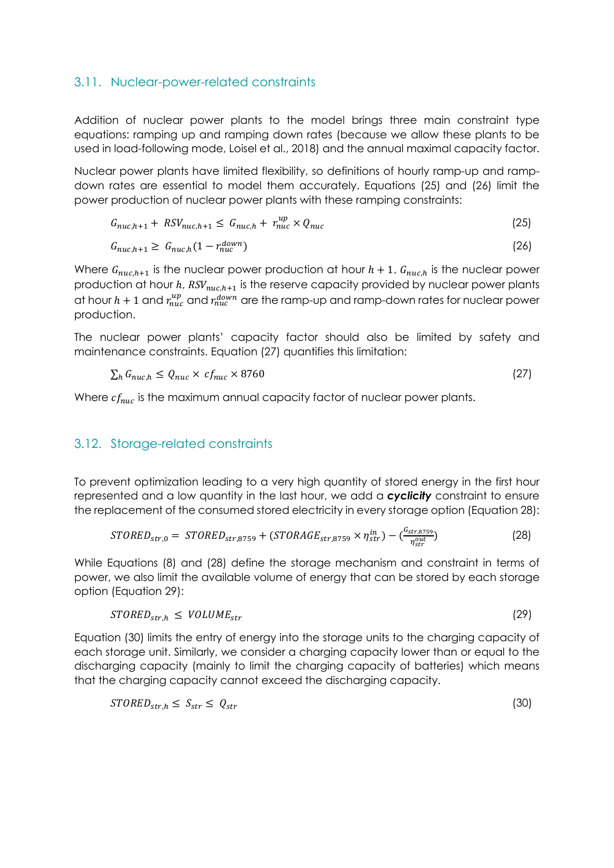#### 3.11. Nuclear-power-related constraints

Addition of nuclear power plants to the model brings three main constraint type equations: ramping up and ramping down rates (because we allow these plants to be used in load-following mode, Loisel et al., 2018) and the annual maximal capacity factor.

Nuclear power plants have limited flexibility, so definitions of hourly ramp-up and rampdown rates are essential to model them accurately. Equations (25) and (26) limit the power production of nuclear power plants with these ramping constraints:

$$
G_{nuc,h+1} + RSV_{nuc,h+1} \leq G_{nuc,h} + r_{nuc}^{up} \times Q_{nuc}
$$
\n
$$
(25)
$$

$$
G_{nuc,h+1} \geq G_{nuc,h}(1 - r_{nuc}^{down}) \tag{26}
$$

Where  $G_{nuc,h+1}$  is the nuclear power production at hour  $h + 1$ ,  $G_{nuc,h}$  is the nuclear power production at hour  $h$ ,  $RSV_{nuc,h+1}$  is the reserve capacity provided by nuclear power plants at hour  $h+1$  and  $r_{nuc}^{up}$  and  $r_{nuc}^{down}$  are the ramp-up and ramp-down rates for nuclear power production.

The nuclear power plants' capacity factor should also be limited by safety and maintenance constraints. Equation (27) quantifies this limitation:

$$
\sum_{h} G_{nuc,h} \le Q_{nuc} \times cf_{nuc} \times 8760 \tag{27}
$$

Where  $cf_{nuc}$  is the maximum annual capacity factor of nuclear power plants.

#### 3.12. Storage-related constraints

To prevent optimization leading to a very high quantity of stored energy in the first hour represented and a low quantity in the last hour, we add a *cyclicity* constraint to ensure the replacement of the consumed stored electricity in every storage option (Equation 28):

$$
STORED_{str,0} = STORED_{str,8759} + (STORAGE_{str,8759} \times \eta_{str}^{in}) - \left(\frac{G_{str,8759}}{\eta_{str}^{out}}\right)
$$
(28)

While Equations (8) and (28) define the storage mechanism and constraint in terms of power, we also limit the available volume of energy that can be stored by each storage option (Equation 29):

$$
STORED_{str,h} \leq VOLUME_{str} \tag{29}
$$

Equation (30) limits the entry of energy into the storage units to the charging capacity of each storage unit. Similarly, we consider a charging capacity lower than or equal to the discharging capacity (mainly to limit the charging capacity of batteries) which means that the charging capacity cannot exceed the discharging capacity.

$$
STORED_{str,h} \leq S_{str} \leq Q_{str} \tag{30}
$$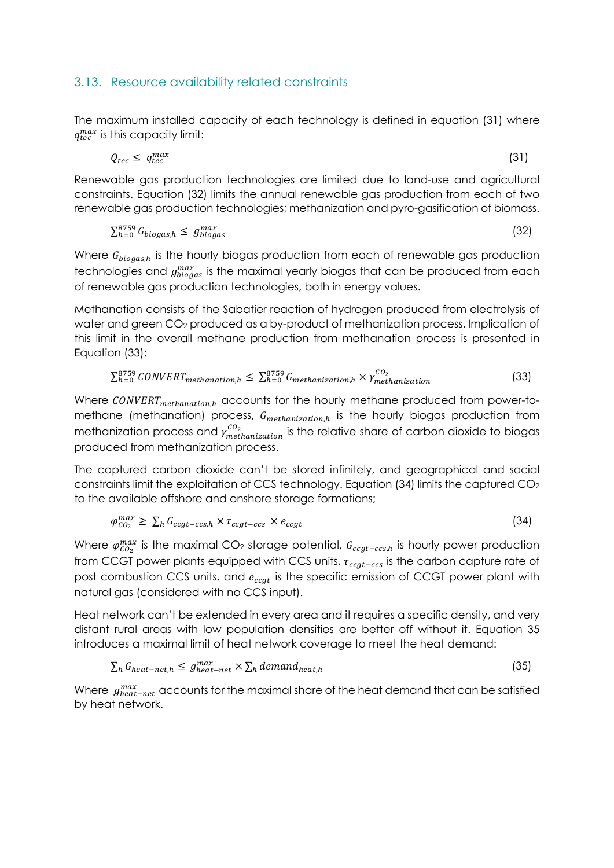### 3.13. Resource availability related constraints

The maximum installed capacity of each technology is defined in equation (31) where  $q_{tec}^{max}$  is this capacity limit:

$$
Q_{tec} \leq q_{tec}^{max} \tag{31}
$$

Renewable gas production technologies are limited due to land-use and agricultural constraints. Equation (32) limits the annual renewable gas production from each of two renewable gas production technologies; methanization and pyro-gasification of biomass.

$$
\sum_{h=0}^{8759} G_{biogas,h} \leq g_{biogas}^{max} \tag{32}
$$

Where  $G_{bioash}$  is the hourly biogas production from each of renewable gas production technologies and  $g^{max}_{big}$  is the maximal yearly biogas that can be produced from each of renewable gas production technologies, both in energy values.

Methanation consists of the Sabatier reaction of hydrogen produced from electrolysis of water and green CO<sub>2</sub> produced as a by-product of methanization process. Implication of this limit in the overall methane production from methanation process is presented in Equation (33):

$$
\sum_{h=0}^{8759} CONVERT_{methanation,h} \leq \sum_{h=0}^{8759} G_{methanization,h} \times \gamma_{methanization}^{CO_2}
$$
 (33)

Where  $\textit{CONVERT}_{\textit{methanation,h}}$  accounts for the hourly methane produced from power-tomethane (methanation) process,  $G_{\text{methanization},h}$  is the hourly biogas production from methanization process and  $\gamma^{CO_2}_{methanization}$  is the relative share of carbon dioxide to biogas produced from methanization process.

The captured carbon dioxide can't be stored infinitely, and geographical and social constraints limit the exploitation of CCS technology. Equation (34) limits the captured CO2 to the available offshore and onshore storage formations;

$$
\varphi_{CO_2}^{max} \ge \sum_h G_{ccgt-ccs,h} \times \tau_{ccgt-ccs} \times e_{ccgt} \tag{34}
$$

Where  $\varphi^{max}_{CO_2}$  is the maximal CO<sub>2</sub> storage potential,  $G_{ccgt-ccs,h}$  is hourly power production from CCGT power plants equipped with CCS units,  $\tau_{ccgt-ccs}$  is the carbon capture rate of post combustion CCS units, and  $e_{ccgt}$  is the specific emission of CCGT power plant with natural gas (considered with no CCS input).

Heat network can't be extended in every area and it requires a specific density, and very distant rural areas with low population densities are better off without it. Equation 35 introduces a maximal limit of heat network coverage to meet the heat demand:

$$
\sum_{h} G_{heat-net,h} \leq g_{heat-net}^{max} \times \sum_{h} demand_{heat,h}
$$
\n(35)

Where  $g_{heat-net}^{max}$  accounts for the maximal share of the heat demand that can be satisfied by heat network.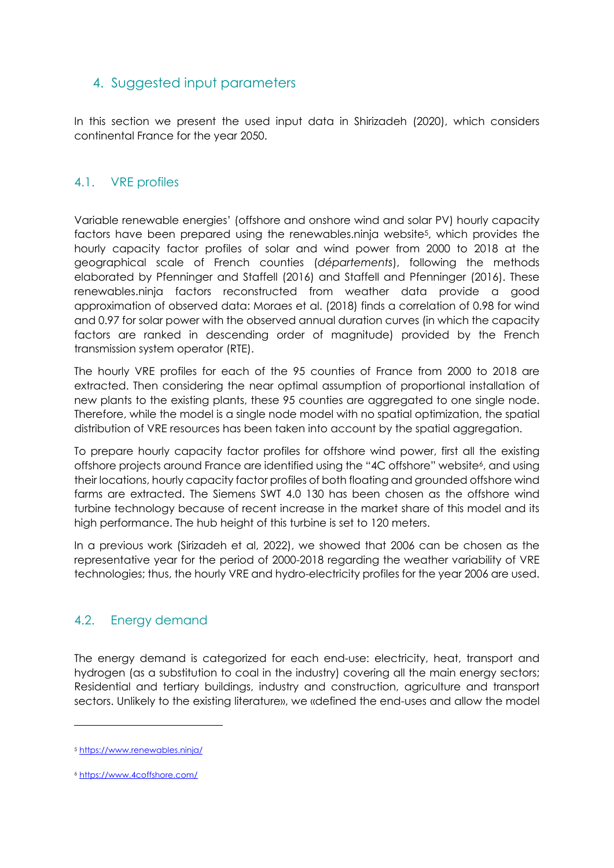# 4. Suggested input parameters

In this section we present the used input data in Shirizadeh (2020), which considers continental France for the year 2050.

### 4.1. VRE profiles

Variable renewable energies' (offshore and onshore wind and solar PV) hourly capacity factors have been prepared using the renewables.ninja website5, which provides the hourly capacity factor profiles of solar and wind power from 2000 to 2018 at the geographical scale of French counties (*départements*), following the methods elaborated by Pfenninger and Staffell (2016) and Staffell and Pfenninger (2016). These renewables.ninja factors reconstructed from weather data provide a good approximation of observed data: Moraes et al. (2018) finds a correlation of 0.98 for wind and 0.97 for solar power with the observed annual duration curves (in which the capacity factors are ranked in descending order of magnitude) provided by the French transmission system operator (RTE).

The hourly VRE profiles for each of the 95 counties of France from 2000 to 2018 are extracted. Then considering the near optimal assumption of proportional installation of new plants to the existing plants, these 95 counties are aggregated to one single node. Therefore, while the model is a single node model with no spatial optimization, the spatial distribution of VRE resources has been taken into account by the spatial aggregation.

To prepare hourly capacity factor profiles for offshore wind power, first all the existing offshore projects around France are identified using the "4C offshore" website<sup>6</sup>, and using their locations, hourly capacity factor profiles of both floating and grounded offshore wind farms are extracted. The Siemens SWT 4.0 130 has been chosen as the offshore wind turbine technology because of recent increase in the market share of this model and its high performance. The hub height of this turbine is set to 120 meters.

In a previous work (Sirizadeh et al, 2022), we showed that 2006 can be chosen as the representative year for the period of 2000-2018 regarding the weather variability of VRE technologies; thus, the hourly VRE and hydro-electricity profiles for the year 2006 are used.

# 4.2. Energy demand

The energy demand is categorized for each end-use: electricity, heat, transport and hydrogen (as a substitution to coal in the industry) covering all the main energy sectors; Residential and tertiary buildings, industry and construction, agriculture and transport sectors. Unlikely to the existing literature», we «defined the end-uses and allow the model

<sup>5</sup> https://www.renewables.ninja/

<sup>6</sup> https://www.4coffshore.com/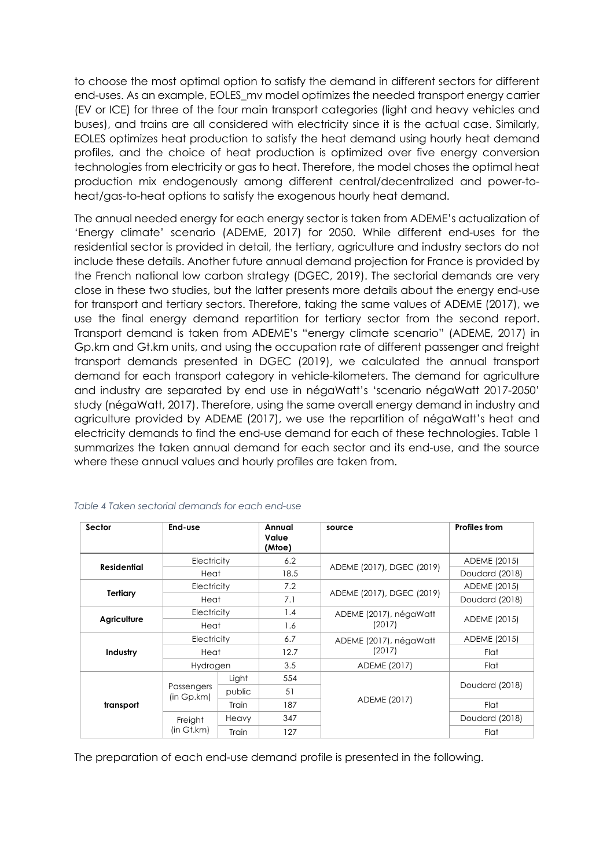to choose the most optimal option to satisfy the demand in different sectors for different end-uses. As an example, EOLES\_mv model optimizes the needed transport energy carrier (EV or ICE) for three of the four main transport categories (light and heavy vehicles and buses), and trains are all considered with electricity since it is the actual case. Similarly, EOLES optimizes heat production to satisfy the heat demand using hourly heat demand profiles, and the choice of heat production is optimized over five energy conversion technologies from electricity or gas to heat. Therefore, the model choses the optimal heat production mix endogenously among different central/decentralized and power-toheat/gas-to-heat options to satisfy the exogenous hourly heat demand.

The annual needed energy for each energy sector is taken from ADEME's actualization of 'Energy climate' scenario (ADEME, 2017) for 2050. While different end-uses for the residential sector is provided in detail, the tertiary, agriculture and industry sectors do not include these details. Another future annual demand projection for France is provided by the French national low carbon strategy (DGEC, 2019). The sectorial demands are very close in these two studies, but the latter presents more details about the energy end-use for transport and tertiary sectors. Therefore, taking the same values of ADEME (2017), we use the final energy demand repartition for tertiary sector from the second report. Transport demand is taken from ADEME's "energy climate scenario" (ADEME, 2017) in Gp.km and Gt.km units, and using the occupation rate of different passenger and freight transport demands presented in DGEC (2019), we calculated the annual transport demand for each transport category in vehicle-kilometers. The demand for agriculture and industry are separated by end use in négaWatt's 'scenario négaWatt 2017-2050' study (négaWatt, 2017). Therefore, using the same overall energy demand in industry and agriculture provided by ADEME (2017), we use the repartition of négaWatt's heat and electricity demands to find the end-use demand for each of these technologies. Table 1 summarizes the taken annual demand for each sector and its end-use, and the source where these annual values and hourly profiles are taken from.

| Sector      | End-use                  |              | Annual<br>Value<br>(Mtoe) | source                    | <b>Profiles from</b> |  |
|-------------|--------------------------|--------------|---------------------------|---------------------------|----------------------|--|
| Residential | Electricity              |              | 6.2                       |                           | ADEME (2015)         |  |
|             | Heat                     |              | 18.5                      | ADEME (2017), DGEC (2019) | Doudard (2018)       |  |
|             | Electricity              |              | 7.2                       |                           | ADEME (2015)         |  |
| Tertiary    |                          | Heat         |                           | ADEME (2017), DGEC (2019) | Doudard (2018)       |  |
|             | Electricity              |              | 1.4                       | ADEME (2017), négaWatt    | ADEME (2015)         |  |
| Agriculture |                          | Heat         |                           | (2017)                    |                      |  |
|             |                          | Electricity  |                           | ADEME (2017), négaWatt    | ADEME (2015)         |  |
| Industry    |                          | Heat         |                           | (2017)                    | Flat                 |  |
|             |                          | Hydrogen     |                           | ADEME (2017)              | Flat                 |  |
|             |                          | Light        | 554                       |                           |                      |  |
|             | Passengers<br>(in Gp.km) | public       | 51                        |                           | Doudard (2018)       |  |
| transport   |                          | <b>Train</b> | 187                       | ADEME (2017)              | Flat                 |  |
|             | Freight                  | Heavy        | 347                       |                           | Doudard (2018)       |  |
|             | (in Gt.km)               | Train        | 127                       |                           | Flat                 |  |

*Table 4 Taken sectorial demands for each end-use*

The preparation of each end-use demand profile is presented in the following.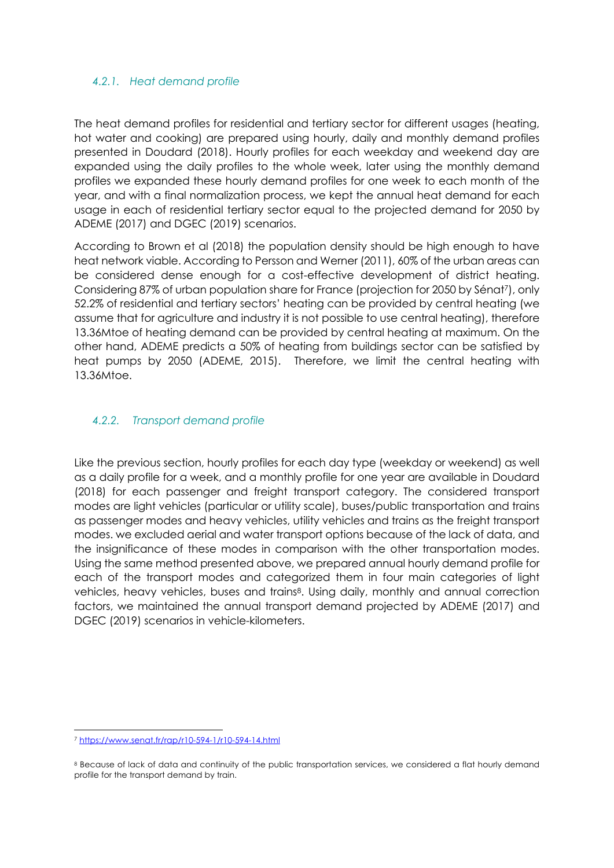#### *4.2.1. Heat demand profile*

The heat demand profiles for residential and tertiary sector for different usages (heating, hot water and cooking) are prepared using hourly, daily and monthly demand profiles presented in Doudard (2018). Hourly profiles for each weekday and weekend day are expanded using the daily profiles to the whole week, later using the monthly demand profiles we expanded these hourly demand profiles for one week to each month of the year, and with a final normalization process, we kept the annual heat demand for each usage in each of residential tertiary sector equal to the projected demand for 2050 by ADEME (2017) and DGEC (2019) scenarios.

According to Brown et al (2018) the population density should be high enough to have heat network viable. According to Persson and Werner (2011), 60% of the urban areas can be considered dense enough for a cost-effective development of district heating. Considering 87% of urban population share for France (projection for 2050 by Sénat7), only 52.2% of residential and tertiary sectors' heating can be provided by central heating (we assume that for agriculture and industry it is not possible to use central heating), therefore 13.36Mtoe of heating demand can be provided by central heating at maximum. On the other hand, ADEME predicts a 50% of heating from buildings sector can be satisfied by heat pumps by 2050 (ADEME, 2015). Therefore, we limit the central heating with 13.36Mtoe.

#### *4.2.2. Transport demand profile*

Like the previous section, hourly profiles for each day type (weekday or weekend) as well as a daily profile for a week, and a monthly profile for one year are available in Doudard (2018) for each passenger and freight transport category. The considered transport modes are light vehicles (particular or utility scale), buses/public transportation and trains as passenger modes and heavy vehicles, utility vehicles and trains as the freight transport modes. we excluded aerial and water transport options because of the lack of data, and the insignificance of these modes in comparison with the other transportation modes. Using the same method presented above, we prepared annual hourly demand profile for each of the transport modes and categorized them in four main categories of light vehicles, heavy vehicles, buses and trains<sup>8</sup>. Using daily, monthly and annual correction factors, we maintained the annual transport demand projected by ADEME (2017) and DGEC (2019) scenarios in vehicle-kilometers.

<sup>7</sup> https://www.senat.fr/rap/r10-594-1/r10-594-14.html

<sup>8</sup> Because of lack of data and continuity of the public transportation services, we considered a flat hourly demand profile for the transport demand by train.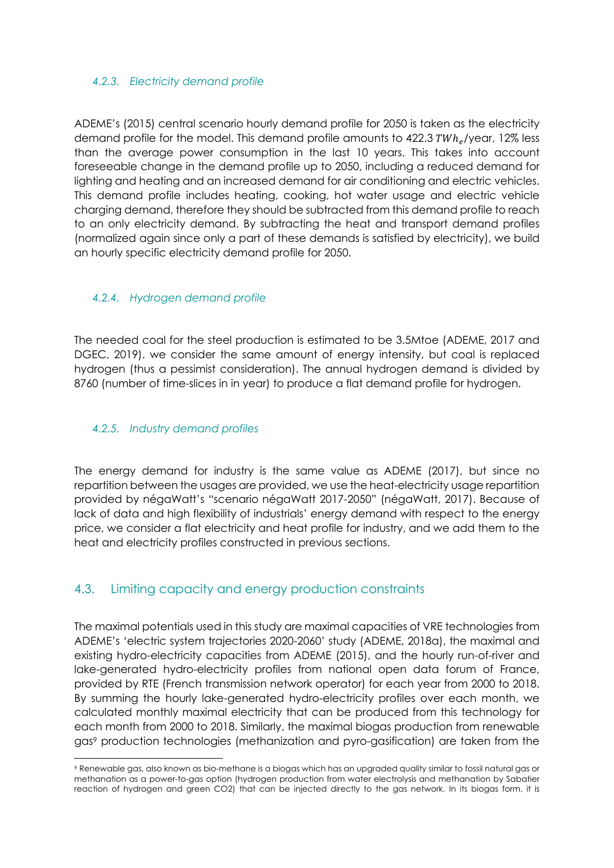#### *4.2.3. Electricity demand profile*

ADEME's (2015) central scenario hourly demand profile for 2050 is taken as the electricity demand profile for the model. This demand profile amounts to  $422.3 \text{ TWh}_e/\text{year}$ , 12% less than the average power consumption in the last 10 years. This takes into account foreseeable change in the demand profile up to 2050, including a reduced demand for lighting and heating and an increased demand for air conditioning and electric vehicles. This demand profile includes heating, cooking, hot water usage and electric vehicle charging demand, therefore they should be subtracted from this demand profile to reach to an only electricity demand. By subtracting the heat and transport demand profiles (normalized again since only a part of these demands is satisfied by electricity), we build an hourly specific electricity demand profile for 2050.

#### *4.2.4. Hydrogen demand profile*

The needed coal for the steel production is estimated to be 3.5Mtoe (ADEME, 2017 and DGEC, 2019). we consider the same amount of energy intensity, but coal is replaced hydrogen (thus a pessimist consideration). The annual hydrogen demand is divided by 8760 (number of time-slices in in year) to produce a flat demand profile for hydrogen.

#### *4.2.5. Industry demand profiles*

The energy demand for industry is the same value as ADEME (2017), but since no repartition between the usages are provided, we use the heat-electricity usage repartition provided by négaWatt's "scenario négaWatt 2017-2050" (négaWatt, 2017). Because of lack of data and high flexibility of industrials' energy demand with respect to the energy price, we consider a flat electricity and heat profile for industry, and we add them to the heat and electricity profiles constructed in previous sections.

# 4.3. Limiting capacity and energy production constraints

The maximal potentials used in this study are maximal capacities of VRE technologies from ADEME's 'electric system trajectories 2020-2060' study (ADEME, 2018a), the maximal and existing hydro-electricity capacities from ADEME (2015), and the hourly run-of-river and lake-generated hydro-electricity profiles from national open data forum of France, provided by RTE (French transmission network operator) for each year from 2000 to 2018. By summing the hourly lake-generated hydro-electricity profiles over each month, we calculated monthly maximal electricity that can be produced from this technology for each month from 2000 to 2018. Similarly, the maximal biogas production from renewable gas9 production technologies (methanization and pyro-gasification) are taken from the

<sup>9</sup> Renewable gas, also known as bio-methane is a biogas which has an upgraded quality similar to fossil natural gas or methanation as a power-to-gas option (hydrogen production from water electrolysis and methanation by Sabatier reaction of hydrogen and green CO2) that can be injected directly to the gas network. In its biogas form, it is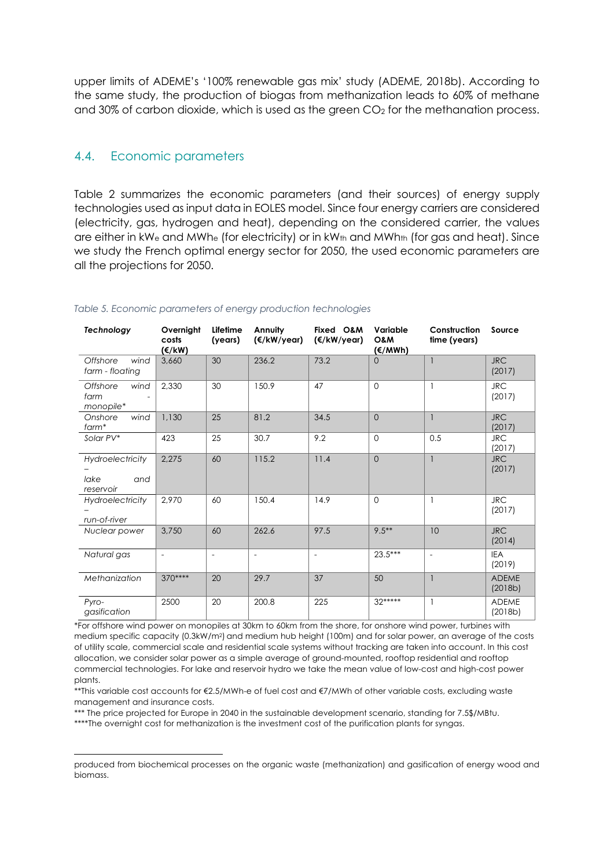upper limits of ADEME's '100% renewable gas mix' study (ADEME, 2018b). According to the same study, the production of biogas from methanization leads to 60% of methane and  $30\%$  of carbon dioxide, which is used as the green  $CO<sub>2</sub>$  for the methanation process.

#### 4.4. Economic parameters

Table 2 summarizes the economic parameters (and their sources) of energy supply technologies used as input data in EOLES model. Since four energy carriers are considered (electricity, gas, hydrogen and heat), depending on the considered carrier, the values are either in kW<sub>e</sub> and MWh<sub>e</sub> (for electricity) or in kW<sub>th</sub> and MWh<sub>th</sub> (for gas and heat). Since we study the French optimal energy sector for 2050, the used economic parameters are all the projections for 2050.

| Technology                                   | Overnight<br>costs<br>(€/kW) | Lifetime<br>(years)      | Annuity<br>(€/kW/year)   | Fixed O&M<br>$(\epsilon/kW/year)$ | Variable<br>O&M<br>(€/MWh) | Construction<br>time (years) | Source                  |
|----------------------------------------------|------------------------------|--------------------------|--------------------------|-----------------------------------|----------------------------|------------------------------|-------------------------|
| Offshore<br>wind<br>farm - floating          | 3,660                        | 30                       | 236.2                    | 73.2                              | $\Omega$                   |                              | <b>JRC</b><br>(2017)    |
| Offshore<br>wind<br>farm<br>monopile*        | 2,330                        | 30                       | 150.9                    | 47                                | $\Omega$                   | $\mathbf{1}$                 | <b>JRC</b><br>(2017)    |
| Onshore<br>wind<br>farm*                     | 1,130                        | 25                       | 81.2                     | 34.5                              | $\Omega$                   | $\mathbf{1}$                 | <b>JRC</b><br>(2017)    |
| Solar PV*                                    | 423                          | 25                       | 30.7                     | 9.2                               | $\Omega$                   | 0.5                          | <b>JRC</b><br>(2017)    |
| Hydroelectricity<br>lake<br>and<br>reservoir | 2,275                        | 60                       | 115.2                    | 11.4                              | $\Omega$                   | $\mathbf{1}$                 | <b>JRC</b><br>(2017)    |
| <b>Hydroelectricity</b><br>run-of-river      | 2,970                        | 60                       | 150.4                    | 14.9                              | $\Omega$                   | $\mathbf{1}$                 | <b>JRC</b><br>(2017)    |
| Nuclear power                                | 3,750                        | 60                       | 262.6                    | 97.5                              | $9.5***$                   | 10                           | <b>JRC</b><br>(2014)    |
| Natural gas                                  | $\overline{\phantom{a}}$     | $\overline{\phantom{a}}$ | $\overline{\phantom{a}}$ | $\blacksquare$                    | $23.5***$                  |                              | <b>IEA</b><br>(2019)    |
| Methanization                                | 370****                      | 20                       | 29.7                     | 37                                | 50                         | $\mathbf{1}$                 | <b>ADEME</b><br>(2018b) |
| Pyro-<br>gasification                        | 2500                         | 20                       | 200.8                    | 225                               | $32***$                    | $\mathbf{1}$                 | <b>ADEME</b><br>(2018b) |

#### *Table 5. Economic parameters of energy production technologies*

\*For offshore wind power on monopiles at 30km to 60km from the shore, for onshore wind power, turbines with medium specific capacity (0.3kW/m2) and medium hub height (100m) and for solar power, an average of the costs of utility scale, commercial scale and residential scale systems without tracking are taken into account. In this cost allocation, we consider solar power as a simple average of ground-mounted, rooftop residential and rooftop commercial technologies. For lake and reservoir hydro we take the mean value of low-cost and high-cost power plants.

\*\*This variable cost accounts for €2.5/MWh-e of fuel cost and €7/MWh of other variable costs, excluding waste management and insurance costs.

\*\*\* The price projected for Europe in 2040 in the sustainable development scenario, standing for 7.5\$/MBtu.

\*\*\*\*The overnight cost for methanization is the investment cost of the purification plants for syngas.

produced from biochemical processes on the organic waste (methanization) and gasification of energy wood and biomass.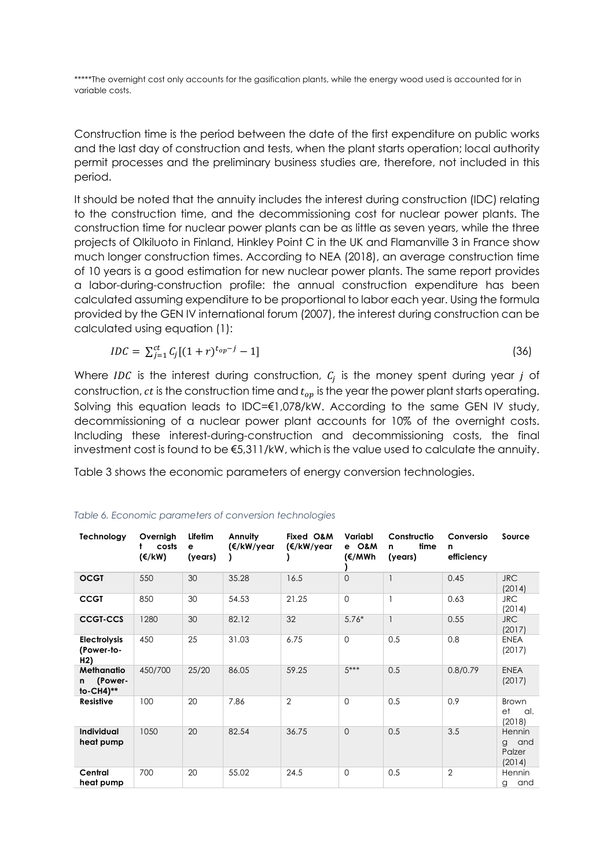\*\*\*\*\*The overnight cost only accounts for the gasification plants, while the energy wood used is accounted for in variable costs.

Construction time is the period between the date of the first expenditure on public works and the last day of construction and tests, when the plant starts operation; local authority permit processes and the preliminary business studies are, therefore, not included in this period.

It should be noted that the annuity includes the interest during construction (IDC) relating to the construction time, and the decommissioning cost for nuclear power plants. The construction time for nuclear power plants can be as little as seven years, while the three projects of Olkiluoto in Finland, Hinkley Point C in the UK and Flamanville 3 in France show much longer construction times. According to NEA (2018), an average construction time of 10 years is a good estimation for new nuclear power plants. The same report provides a labor-during-construction profile: the annual construction expenditure has been calculated assuming expenditure to be proportional to labor each year. Using the formula provided by the GEN IV international forum (2007), the interest during construction can be calculated using equation (1):

$$
IDC = \sum_{j=1}^{ct} C_j [(1+r)^{t_{op}-j} - 1] \tag{36}
$$

Where IDC is the interest during construction,  $C_j$  is the money spent during year j of construction,  $ct$  is the construction time and  $t_{op}$  is the year the power plant starts operating. Solving this equation leads to IDC=€1,078/kW. According to the same GEN IV study, decommissioning of a nuclear power plant accounts for 10% of the overnight costs. Including these interest-during-construction and decommissioning costs, the final investment cost is found to be €5,311/kW, which is the value used to calculate the annuity.

Table 3 shows the economic parameters of energy conversion technologies.

| Technology                                            | Overnigh<br>costs<br>$(\epsilon/kW)$ | Lifetim<br>е<br>(years) | Annuity<br>(€/kW/year | Fixed O&M<br>(€/kW/year | Variabl<br>e O&M<br>(€/MWh | Constructio<br>time<br>n<br>(years) | Conversio<br>n<br>efficiency | Source                                        |
|-------------------------------------------------------|--------------------------------------|-------------------------|-----------------------|-------------------------|----------------------------|-------------------------------------|------------------------------|-----------------------------------------------|
| <b>OCGT</b>                                           | 550                                  | 30                      | 35.28                 | 16.5                    | $\overline{0}$             |                                     | 0.45                         | <b>JRC</b><br>(2014)                          |
| <b>CCGT</b>                                           | 850                                  | 30                      | 54.53                 | 21.25                   | $\Omega$                   |                                     | 0.63                         | <b>JRC</b><br>(2014)                          |
| <b>CCGT-CCS</b>                                       | 1280                                 | 30                      | 82.12                 | 32                      | $5.76*$                    |                                     | 0.55                         | <b>JRC</b><br>(2017)                          |
| <b>Electrolysis</b><br>(Power-to-<br>H <sub>2</sub> ) | 450                                  | 25                      | 31.03                 | 6.75                    | $\Omega$                   | 0.5                                 | 0.8                          | <b>ENEA</b><br>(2017)                         |
| <b>Methanatio</b><br>(Power-<br>n<br>$to$ -CH4)**     | 450/700                              | 25/20                   | 86.05                 | 59.25                   | $5***$                     | 0.5                                 | 0.8/0.79                     | <b>ENEA</b><br>(2017)                         |
| <b>Resistive</b>                                      | 100                                  | 20                      | 7.86                  | $\overline{2}$          | $\mathbf{O}$               | 0.5                                 | 0.9                          | <b>Brown</b><br>et<br>al.<br>(2018)           |
| <b>Individual</b><br>heat pump                        | 1050                                 | 20                      | 82.54                 | 36.75                   | $\Omega$                   | 0.5                                 | 3.5                          | Hennin<br>and<br>$\alpha$<br>Palzer<br>(2014) |
| Central<br>heat pump                                  | 700                                  | 20                      | 55.02                 | 24.5                    | $\Omega$                   | 0.5                                 | $\overline{2}$               | Hennin<br>and<br>g                            |

*Table 6. Economic parameters of conversion technologies*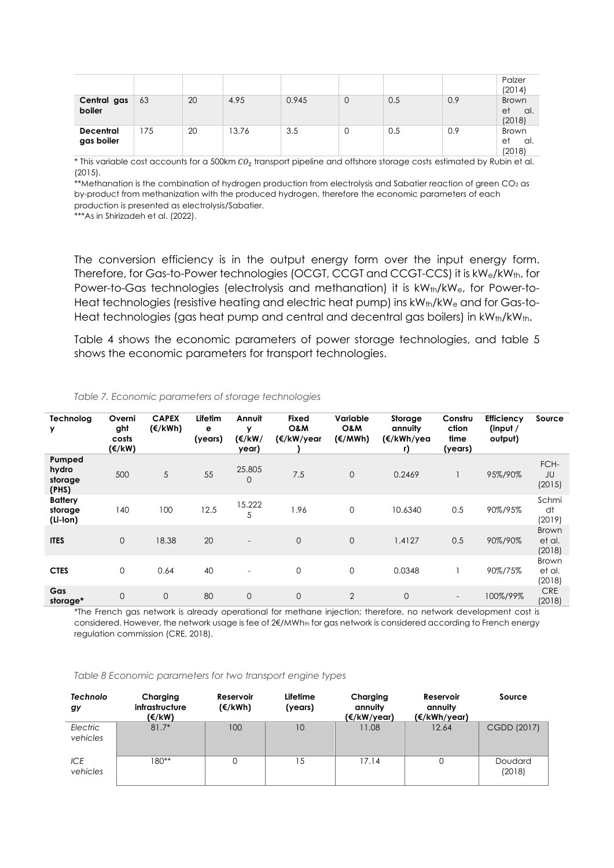|                                |     |    |      |       |   |     |     | Palzer<br>(2014)                    |
|--------------------------------|-----|----|------|-------|---|-----|-----|-------------------------------------|
| Central gas<br>boiler          | 63  | 20 | 4.95 | 0.945 | 0 | 0.5 | 0.9 | <b>Brown</b><br>et<br>al.<br>(2018) |
| <b>Decentral</b><br>gas boiler | 175 | 20 | 3.76 | 3.5   | 0 | 0.5 | 0.9 | <b>Brown</b><br>et<br>al.<br>(2018) |

\* This variable cost accounts for a 500km  $CO<sub>2</sub>$  transport pipeline and offshore storage costs estimated by Rubin et al. (2015).

\*\*Methanation is the combination of hydrogen production from electrolysis and Sabatier reaction of green CO<sub>2</sub> as by-product from methanization with the produced hydrogen, therefore the economic parameters of each production is presented as electrolysis/Sabatier.

\*\*\*As in Shirizadeh et al. (2022).

The conversion efficiency is in the output energy form over the input energy form. Therefore, for Gas-to-Power technologies (OCGT, CCGT and CCGT-CCS) it is kWe/kWth, for Power-to-Gas technologies (electrolysis and methanation) it is kW<sub>th</sub>/kW<sub>e</sub>, for Power-to-Heat technologies (resistive heating and electric heat pump) ins  $kW_{th}/kW_e$  and for Gas-to-Heat technologies (gas heat pump and central and decentral gas boilers) in kWth/kWth.

Table 4 shows the economic parameters of power storage technologies, and table 5 shows the economic parameters for transport technologies.

| Technolog<br>у                        | Overni<br>ght<br>costs<br>(€/kW) | <b>CAPEX</b><br>$(\epsilon/kWh)$ | Lifetim<br>е<br>(years) | Annuit<br>y<br>(€/kW/<br>year) | <b>Fixed</b><br>O&M<br>(€/kW/year | Variable<br>O&M<br>$(\epsilon/MWh)$ | Storage<br>annuity<br>(€/kWh/yea<br>r) | Constru<br>ction<br>time<br>(years) | <b>Efficiency</b><br>(input $/$<br>output) | Source                           |
|---------------------------------------|----------------------------------|----------------------------------|-------------------------|--------------------------------|-----------------------------------|-------------------------------------|----------------------------------------|-------------------------------------|--------------------------------------------|----------------------------------|
| Pumped<br>hydro<br>storage<br>(PHS)   | 500                              | 5                                | 55                      | 25.805<br>$\Omega$             | 7.5                               | $\Omega$                            | 0.2469                                 |                                     | 95%/90%                                    | FCH-<br>JU<br>(2015)             |
| <b>Battery</b><br>storage<br>(Li-lon) | 140                              | 100                              | 12.5                    | 15.222<br>5                    | 1.96                              | $\mathbf 0$                         | 10.6340                                | 0.5                                 | 90%/95%                                    | Schmi<br>dt<br>(2019)            |
| <b>ITES</b>                           | $\overline{0}$                   | 18.38                            | 20                      | $\overline{\phantom{0}}$       | $\mathbf 0$                       | $\Omega$                            | 1.4127                                 | 0.5                                 | 90%/90%                                    | <b>Brown</b><br>et al.<br>(2018) |
| <b>CTES</b>                           | $\mathbf 0$                      | 0.64                             | 40                      |                                | $\mathbf 0$                       | $\mathbf 0$                         | 0.0348                                 |                                     | 90%/75%                                    | <b>Brown</b><br>et al.<br>(2018) |
| Gas<br>storage*                       | $\overline{0}$                   | $\mathbf{O}$                     | 80                      | $\overline{0}$                 | $\mathbf 0$                       | $\overline{2}$                      | $\overline{0}$                         | $\overline{\phantom{0}}$            | 100%/99%                                   | <b>CRE</b><br>(2018)             |

#### *Table 7. Economic parameters of storage technologies*

\*The French gas network is already operational for methane injection; therefore, no network development cost is considered. However, the network usage is fee of 2€/MWh<sub>th</sub> for gas network is considered according to French energy regulation commission (CRE, 2018).

#### *Table 8 Economic parameters for two transport engine types*

| <b>Technolo</b><br>gy  | Charging<br>infrastructure<br>(€/kW) | Reservoir<br>$(\epsilon/kWh)$ | Lifetime<br>(years) | Charging<br>annuity<br>(€/kW/year) | Reservoir<br>annuity<br>(€/kWh/year) | Source            |
|------------------------|--------------------------------------|-------------------------------|---------------------|------------------------------------|--------------------------------------|-------------------|
| Electric<br>vehicles   | $81.7*$                              | 100                           | 10                  | 11.08                              | 12.64                                | CGDD (2017)       |
| <b>ICE</b><br>vehicles | 180**                                | 0                             | 15                  | 17.14                              | 0                                    | Doudard<br>(2018) |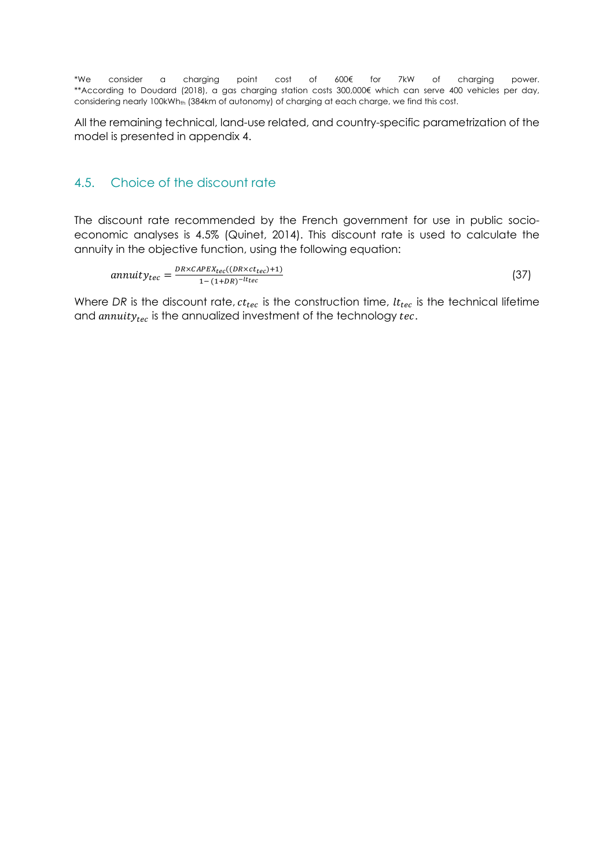\*We consider a charging point cost of 600€ for 7kW of charging power. \*\*According to Doudard (2018), a gas charging station costs 300,000€ which can serve 400 vehicles per day, considering nearly 100kWh<sub>th</sub> (384km of autonomy) of charging at each charge, we find this cost.

All the remaining technical, land-use related, and country-specific parametrization of the model is presented in appendix 4.

#### 4.5. Choice of the discount rate

The discount rate recommended by the French government for use in public socioeconomic analyses is 4.5% (Quinet, 2014). This discount rate is used to calculate the annuity in the objective function, using the following equation:

$$
annuity_{tec} = \frac{DR \times CAPEX_{tec}((DR \times ct_{tec}) + 1)}{1 - (1 + DR)^{-lt_{tec}}}
$$
\n(37)

Where *DR* is the discount rate,  $ct_{rec}$  is the construction time,  $lt_{rec}$  is the technical lifetime and  $annuity_{tec}$  is the annualized investment of the technology  $tec$ .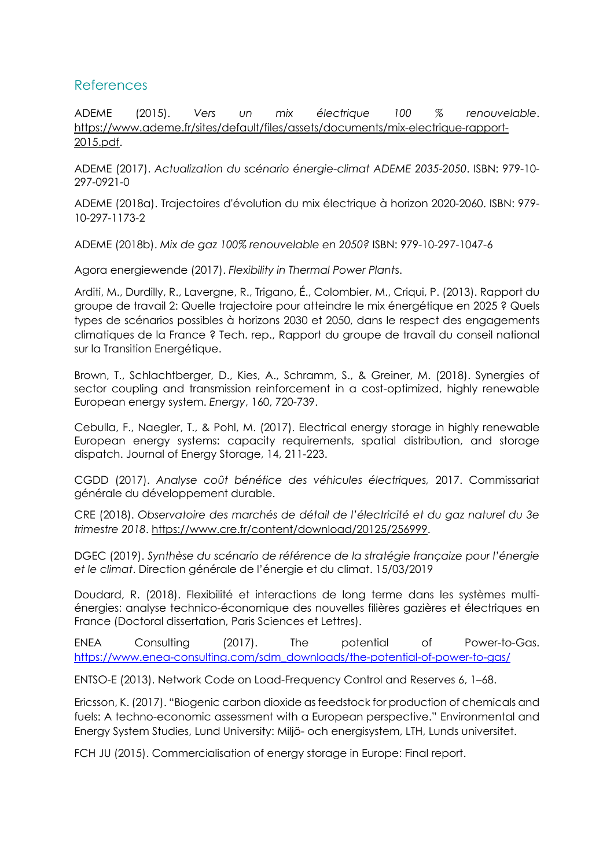#### References

ADEME (2015). *Vers un mix électrique 100 % renouvelable*. https://www.ademe.fr/sites/default/files/assets/documents/mix-electrique-rapport-2015.pdf.

ADEME (2017). *Actualization du scénario énergie-climat ADEME 2035-2050*. ISBN: 979-10- 297-0921-0

ADEME (2018a). Trajectoires d'évolution du mix électrique à horizon 2020-2060. ISBN: 979- 10-297-1173-2

ADEME (2018b). *Mix de gaz 100% renouvelable en 2050?* ISBN: 979-10-297-1047-6

Agora energiewende (2017). *Flexibility in Thermal Power Plant*s.

Arditi, M., Durdilly, R., Lavergne, R., Trigano, É., Colombier, M., Criqui, P. (2013). Rapport du groupe de travail 2: Quelle trajectoire pour atteindre le mix énergétique en 2025 ? Quels types de scénarios possibles à horizons 2030 et 2050, dans le respect des engagements climatiques de la France ? Tech. rep., Rapport du groupe de travail du conseil national sur la Transition Energétique.

Brown, T., Schlachtberger, D., Kies, A., Schramm, S., & Greiner, M. (2018). Synergies of sector coupling and transmission reinforcement in a cost-optimized, highly renewable European energy system. *Energy*, 160, 720-739.

Cebulla, F., Naegler, T., & Pohl, M. (2017). Electrical energy storage in highly renewable European energy systems: capacity requirements, spatial distribution, and storage dispatch. Journal of Energy Storage, 14, 211-223.

CGDD (2017). *Analyse coût bénéfice des véhicules électriques,* 2017. Commissariat générale du développement durable.

CRE (2018). *Observatoire des marchés de détail de l'électricité et du gaz naturel du 3e trimestre 2018*. https://www.cre.fr/content/download/20125/256999.

DGEC (2019). *Synthèse du scénario de référence de la stratégie françaize pour l'énergie et le climat*. Direction générale de l'énergie et du climat. 15/03/2019

Doudard, R. (2018). Flexibilité et interactions de long terme dans les systèmes multiénergies: analyse technico-économique des nouvelles filières gazières et électriques en France (Doctoral dissertation, Paris Sciences et Lettres).

ENEA Consulting (2017). The potential of Power-to-Gas. https://www.enea-consulting.com/sdm\_downloads/the-potential-of-power-to-gas/

ENTSO-E (2013). Network Code on Load-Frequency Control and Reserves 6, 1–68.

Ericsson, K. (2017). "Biogenic carbon dioxide as feedstock for production of chemicals and fuels: A techno-economic assessment with a European perspective." Environmental and Energy System Studies, Lund University: Miljö- och energisystem, LTH, Lunds universitet.

FCH JU (2015). Commercialisation of energy storage in Europe: Final report.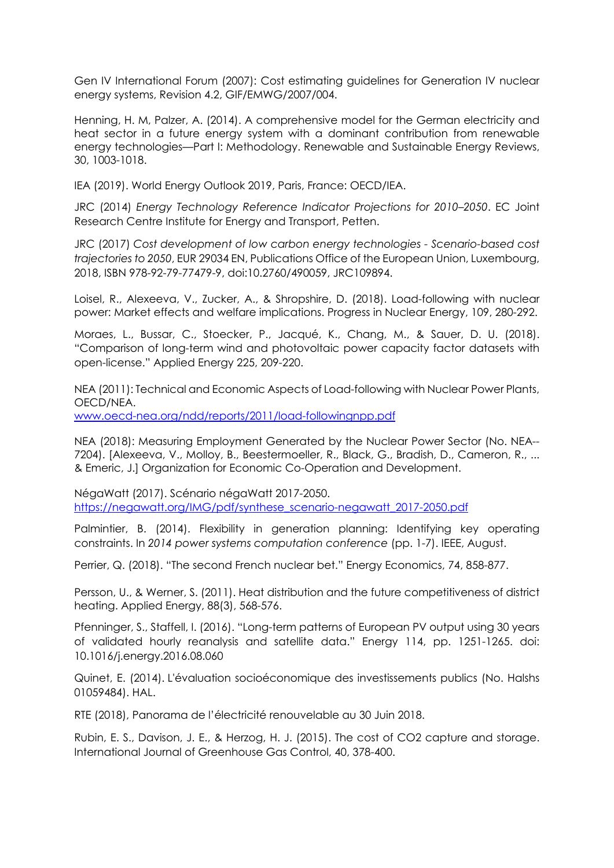Gen IV International Forum (2007): Cost estimating guidelines for Generation IV nuclear energy systems, Revision 4.2, GIF/EMWG/2007/004.

Henning, H. M, Palzer, A. (2014). A comprehensive model for the German electricity and heat sector in a future energy system with a dominant contribution from renewable energy technologies—Part I: Methodology. Renewable and Sustainable Energy Reviews, 30, 1003-1018.

IEA (2019). World Energy Outlook 2019, Paris, France: OECD/IEA.

JRC (2014) *Energy Technology Reference Indicator Projections for 2010–2050*. EC Joint Research Centre Institute for Energy and Transport, Petten.

JRC (2017) *Cost development of low carbon energy technologies - Scenario-based cost trajectories to 2050*, EUR 29034 EN, Publications Office of the European Union, Luxembourg, 2018, ISBN 978-92-79-77479-9, doi:10.2760/490059, JRC109894.

Loisel, R., Alexeeva, V., Zucker, A., & Shropshire, D. (2018). Load-following with nuclear power: Market effects and welfare implications. Progress in Nuclear Energy, 109, 280-292.

Moraes, L., Bussar, C., Stoecker, P., Jacqué, K., Chang, M., & Sauer, D. U. (2018). "Comparison of long-term wind and photovoltaic power capacity factor datasets with open-license." Applied Energy 225, 209-220.

NEA (2011): Technical and Economic Aspects of Load-following with Nuclear Power Plants, OECD/NEA.

www.oecd-nea.org/ndd/reports/2011/load-followingnpp.pdf

NEA (2018): Measuring Employment Generated by the Nuclear Power Sector (No. NEA-- 7204). [Alexeeva, V., Molloy, B., Beestermoeller, R., Black, G., Bradish, D., Cameron, R., ... & Emeric, J.] Organization for Economic Co-Operation and Development.

NégaWatt (2017). Scénario négaWatt 2017-2050. https://negawatt.org/IMG/pdf/synthese\_scenario-negawatt\_2017-2050.pdf

Palmintier, B. (2014). Flexibility in generation planning: Identifying key operating constraints. In *2014 power systems computation conference* (pp. 1-7). IEEE, August.

Perrier, Q. (2018). "The second French nuclear bet." Energy Economics, 74, 858-877.

Persson, U., & Werner, S. (2011). Heat distribution and the future competitiveness of district heating. Applied Energy, 88(3), 568-576.

Pfenninger, S., Staffell, I. (2016). "Long-term patterns of European PV output using 30 years of validated hourly reanalysis and satellite data." Energy 114, pp. 1251-1265. doi: 10.1016/j.energy.2016.08.060

Quinet, E. (2014). L'évaluation socioéconomique des investissements publics (No. Halshs 01059484). HAL.

RTE (2018), Panorama de l'électricité renouvelable au 30 Juin 2018.

Rubin, E. S., Davison, J. E., & Herzog, H. J. (2015). The cost of CO2 capture and storage. International Journal of Greenhouse Gas Control, 40, 378-400.